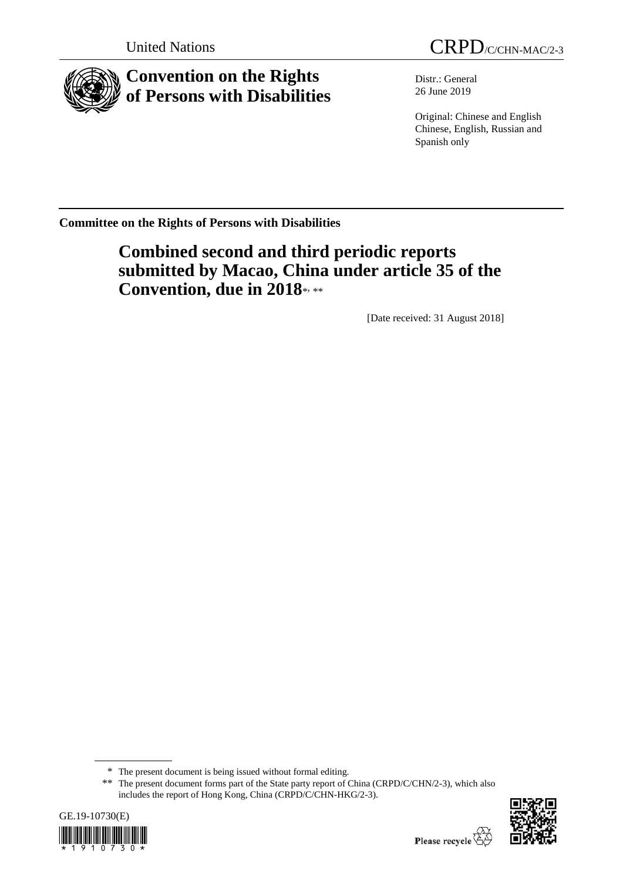

# **Convention on the Rights of Persons with Disabilities**

Distr.: General 26 June 2019

Original: Chinese and English Chinese, English, Russian and Spanish only

**Committee on the Rights of Persons with Disabilities**

# **Combined second and third periodic reports submitted by Macao, China under article 35 of the**  Convention, due in 2018\*, \*\*

[Date received: 31 August 2018]

<sup>\*\*</sup> The present document forms part of the State party report of China (CRPD/C/CHN/2-3), which also includes the report of Hong Kong, China (CRPD/C/CHN-HKG/2-3).





<sup>\*</sup> The present document is being issued without formal editing.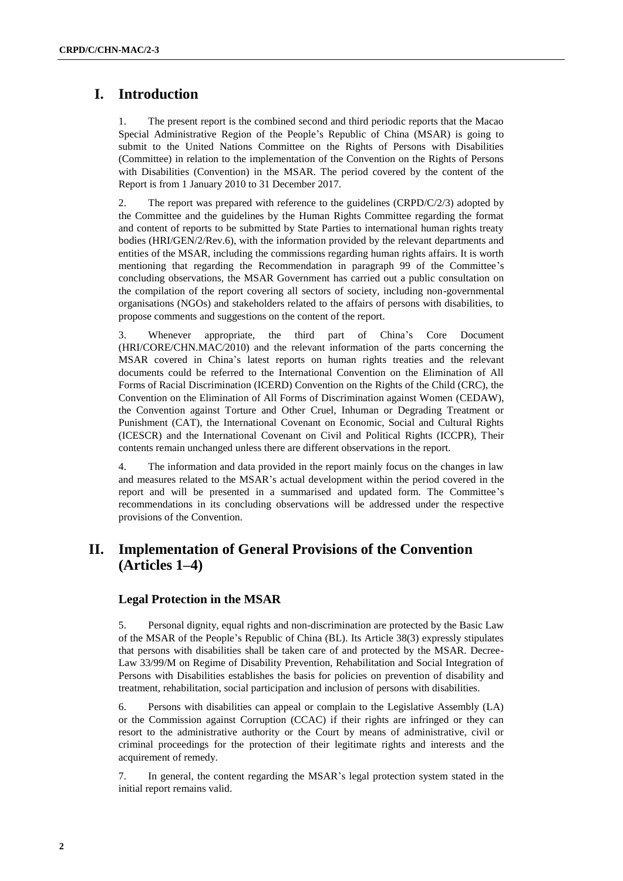# **I. Introduction**

1. The present report is the combined second and third periodic reports that the Macao Special Administrative Region of the People's Republic of China (MSAR) is going to submit to the United Nations Committee on the Rights of Persons with Disabilities (Committee) in relation to the implementation of the Convention on the Rights of Persons with Disabilities (Convention) in the MSAR. The period covered by the content of the Report is from 1 January 2010 to 31 December 2017.

2. The report was prepared with reference to the guidelines (CRPD/C/2/3) adopted by the Committee and the guidelines by the Human Rights Committee regarding the format and content of reports to be submitted by State Parties to international human rights treaty bodies (HRI/GEN/2/Rev.6), with the information provided by the relevant departments and entities of the MSAR, including the commissions regarding human rights affairs. It is worth mentioning that regarding the Recommendation in paragraph 99 of the Committee's concluding observations, the MSAR Government has carried out a public consultation on the compilation of the report covering all sectors of society, including non-governmental organisations (NGOs) and stakeholders related to the affairs of persons with disabilities, to propose comments and suggestions on the content of the report.

3. Whenever appropriate, the third part of China's Core Document (HRI/CORE/CHN.MAC/2010) and the relevant information of the parts concerning the MSAR covered in China's latest reports on human rights treaties and the relevant documents could be referred to the International Convention on the Elimination of All Forms of Racial Discrimination (ICERD) Convention on the Rights of the Child (CRC), the Convention on the Elimination of All Forms of Discrimination against Women (CEDAW), the Convention against Torture and Other Cruel, Inhuman or Degrading Treatment or Punishment (CAT), the International Covenant on Economic, Social and Cultural Rights (ICESCR) and the International Covenant on Civil and Political Rights (ICCPR), Their contents remain unchanged unless there are different observations in the report.

4. The information and data provided in the report mainly focus on the changes in law and measures related to the MSAR's actual development within the period covered in the report and will be presented in a summarised and updated form. The Committee's recommendations in its concluding observations will be addressed under the respective provisions of the Convention.

# **II. Implementation of General Provisions of the Convention (Articles 1–4)**

# **Legal Protection in the MSAR**

5. Personal dignity, equal rights and non-discrimination are protected by the Basic Law of the MSAR of the People's Republic of China (BL). Its Article 38(3) expressly stipulates that persons with disabilities shall be taken care of and protected by the MSAR. Decree-Law 33/99/M on Regime of Disability Prevention, Rehabilitation and Social Integration of Persons with Disabilities establishes the basis for policies on prevention of disability and treatment, rehabilitation, social participation and inclusion of persons with disabilities.

6. Persons with disabilities can appeal or complain to the Legislative Assembly (LA) or the Commission against Corruption (CCAC) if their rights are infringed or they can resort to the administrative authority or the Court by means of administrative, civil or criminal proceedings for the protection of their legitimate rights and interests and the acquirement of remedy.

7. In general, the content regarding the MSAR's legal protection system stated in the initial report remains valid.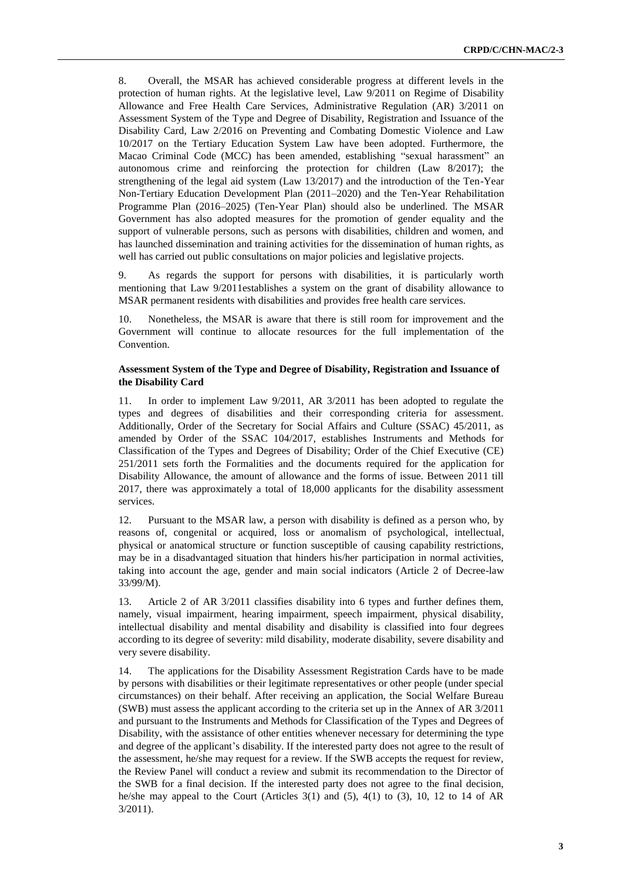8. Overall, the MSAR has achieved considerable progress at different levels in the protection of human rights. At the legislative level, Law 9/2011 on Regime of Disability Allowance and Free Health Care Services, Administrative Regulation (AR) 3/2011 on Assessment System of the Type and Degree of Disability, Registration and Issuance of the Disability Card, Law 2/2016 on Preventing and Combating Domestic Violence and Law 10/2017 on the Tertiary Education System Law have been adopted. Furthermore, the Macao Criminal Code (MCC) has been amended, establishing "sexual harassment" an autonomous crime and reinforcing the protection for children (Law 8/2017); the strengthening of the legal aid system (Law 13/2017) and the introduction of the Ten-Year Non-Tertiary Education Development Plan (2011–2020) and the Ten-Year Rehabilitation Programme Plan (2016–2025) (Ten-Year Plan) should also be underlined. The MSAR Government has also adopted measures for the promotion of gender equality and the support of vulnerable persons, such as persons with disabilities, children and women, and has launched dissemination and training activities for the dissemination of human rights, as well has carried out public consultations on major policies and legislative projects.

9. As regards the support for persons with disabilities, it is particularly worth mentioning that Law 9/2011establishes a system on the grant of disability allowance to MSAR permanent residents with disabilities and provides free health care services.

10. Nonetheless, the MSAR is aware that there is still room for improvement and the Government will continue to allocate resources for the full implementation of the Convention.

#### **Assessment System of the Type and Degree of Disability, Registration and Issuance of the Disability Card**

11. In order to implement Law 9/2011, AR 3/2011 has been adopted to regulate the types and degrees of disabilities and their corresponding criteria for assessment. Additionally, Order of the Secretary for Social Affairs and Culture (SSAC) 45/2011, as amended by Order of the SSAC 104/2017, establishes Instruments and Methods for Classification of the Types and Degrees of Disability; Order of the Chief Executive (CE) 251/2011 sets forth the Formalities and the documents required for the application for Disability Allowance, the amount of allowance and the forms of issue. Between 2011 till 2017, there was approximately a total of 18,000 applicants for the disability assessment services.

12. Pursuant to the MSAR law, a person with disability is defined as a person who, by reasons of, congenital or acquired, loss or anomalism of psychological, intellectual, physical or anatomical structure or function susceptible of causing capability restrictions, may be in a disadvantaged situation that hinders his/her participation in normal activities, taking into account the age, gender and main social indicators (Article 2 of Decree-law 33/99/M).

13. Article 2 of AR 3/2011 classifies disability into 6 types and further defines them, namely, visual impairment, hearing impairment, speech impairment, physical disability, intellectual disability and mental disability and disability is classified into four degrees according to its degree of severity: mild disability, moderate disability, severe disability and very severe disability.

14. The applications for the Disability Assessment Registration Cards have to be made by persons with disabilities or their legitimate representatives or other people (under special circumstances) on their behalf. After receiving an application, the Social Welfare Bureau (SWB) must assess the applicant according to the criteria set up in the Annex of AR 3/2011 and pursuant to the Instruments and Methods for Classification of the Types and Degrees of Disability, with the assistance of other entities whenever necessary for determining the type and degree of the applicant's disability. If the interested party does not agree to the result of the assessment, he/she may request for a review. If the SWB accepts the request for review, the Review Panel will conduct a review and submit its recommendation to the Director of the SWB for a final decision. If the interested party does not agree to the final decision, he/she may appeal to the Court (Articles  $3(1)$  and  $(5)$ ,  $4(1)$  to  $(3)$ ,  $10$ ,  $12$  to  $14$  of AR 3/2011).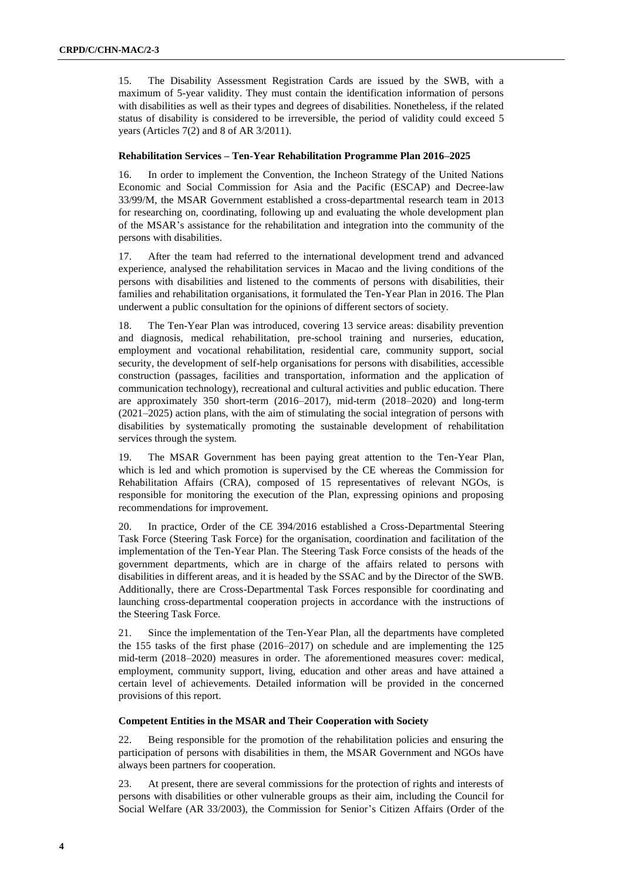15. The Disability Assessment Registration Cards are issued by the SWB, with a maximum of 5-year validity. They must contain the identification information of persons with disabilities as well as their types and degrees of disabilities. Nonetheless, if the related status of disability is considered to be irreversible, the period of validity could exceed 5 years (Articles 7(2) and 8 of AR 3/2011).

#### **Rehabilitation Services – Ten-Year Rehabilitation Programme Plan 2016–2025**

16. In order to implement the Convention, the Incheon Strategy of the United Nations Economic and Social Commission for Asia and the Pacific (ESCAP) and Decree-law 33/99/M, the MSAR Government established a cross-departmental research team in 2013 for researching on, coordinating, following up and evaluating the whole development plan of the MSAR's assistance for the rehabilitation and integration into the community of the persons with disabilities.

17. After the team had referred to the international development trend and advanced experience, analysed the rehabilitation services in Macao and the living conditions of the persons with disabilities and listened to the comments of persons with disabilities, their families and rehabilitation organisations, it formulated the Ten-Year Plan in 2016. The Plan underwent a public consultation for the opinions of different sectors of society.

18. The Ten-Year Plan was introduced, covering 13 service areas: disability prevention and diagnosis, medical rehabilitation, pre-school training and nurseries, education, employment and vocational rehabilitation, residential care, community support, social security, the development of self-help organisations for persons with disabilities, accessible construction (passages, facilities and transportation, information and the application of communication technology), recreational and cultural activities and public education. There are approximately 350 short-term (2016–2017), mid-term (2018–2020) and long-term (2021–2025) action plans, with the aim of stimulating the social integration of persons with disabilities by systematically promoting the sustainable development of rehabilitation services through the system.

19. The MSAR Government has been paying great attention to the Ten-Year Plan, which is led and which promotion is supervised by the CE whereas the Commission for Rehabilitation Affairs (CRA), composed of 15 representatives of relevant NGOs, is responsible for monitoring the execution of the Plan, expressing opinions and proposing recommendations for improvement.

20. In practice, Order of the CE 394/2016 established a Cross-Departmental Steering Task Force (Steering Task Force) for the organisation, coordination and facilitation of the implementation of the Ten-Year Plan. The Steering Task Force consists of the heads of the government departments, which are in charge of the affairs related to persons with disabilities in different areas, and it is headed by the SSAC and by the Director of the SWB. Additionally, there are Cross-Departmental Task Forces responsible for coordinating and launching cross-departmental cooperation projects in accordance with the instructions of the Steering Task Force.

21. Since the implementation of the Ten-Year Plan, all the departments have completed the 155 tasks of the first phase (2016–2017) on schedule and are implementing the 125 mid-term (2018–2020) measures in order. The aforementioned measures cover: medical, employment, community support, living, education and other areas and have attained a certain level of achievements. Detailed information will be provided in the concerned provisions of this report.

#### **Competent Entities in the MSAR and Their Cooperation with Society**

22. Being responsible for the promotion of the rehabilitation policies and ensuring the participation of persons with disabilities in them, the MSAR Government and NGOs have always been partners for cooperation.

23. At present, there are several commissions for the protection of rights and interests of persons with disabilities or other vulnerable groups as their aim, including the Council for Social Welfare (AR 33/2003), the Commission for Senior's Citizen Affairs (Order of the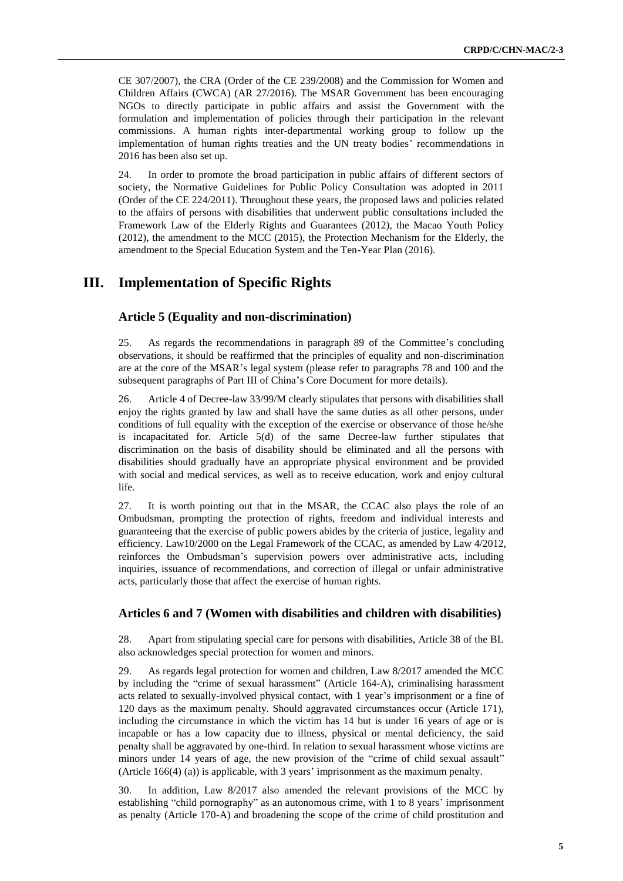CE 307/2007), the CRA (Order of the CE 239/2008) and the Commission for Women and Children Affairs (CWCA) (AR 27/2016). The MSAR Government has been encouraging NGOs to directly participate in public affairs and assist the Government with the formulation and implementation of policies through their participation in the relevant commissions. A human rights inter-departmental working group to follow up the implementation of human rights treaties and the UN treaty bodies' recommendations in 2016 has been also set up.

24. In order to promote the broad participation in public affairs of different sectors of society, the Normative Guidelines for Public Policy Consultation was adopted in 2011 (Order of the CE 224/2011). Throughout these years, the proposed laws and policies related to the affairs of persons with disabilities that underwent public consultations included the Framework Law of the Elderly Rights and Guarantees (2012), the Macao Youth Policy (2012), the amendment to the MCC (2015), the Protection Mechanism for the Elderly, the amendment to the Special Education System and the Ten-Year Plan (2016).

# **III. Implementation of Specific Rights**

### **Article 5 (Equality and non-discrimination)**

25. As regards the recommendations in paragraph 89 of the Committee's concluding observations, it should be reaffirmed that the principles of equality and non-discrimination are at the core of the MSAR's legal system (please refer to paragraphs 78 and 100 and the subsequent paragraphs of Part III of China's Core Document for more details).

26. Article 4 of Decree-law 33/99/M clearly stipulates that persons with disabilities shall enjoy the rights granted by law and shall have the same duties as all other persons, under conditions of full equality with the exception of the exercise or observance of those he/she is incapacitated for. Article 5(d) of the same Decree-law further stipulates that discrimination on the basis of disability should be eliminated and all the persons with disabilities should gradually have an appropriate physical environment and be provided with social and medical services, as well as to receive education, work and enjoy cultural life.

27. It is worth pointing out that in the MSAR, the CCAC also plays the role of an Ombudsman, prompting the protection of rights, freedom and individual interests and guaranteeing that the exercise of public powers abides by the criteria of justice, legality and efficiency. Law10/2000 on the Legal Framework of the CCAC, as amended by Law 4/2012, reinforces the Ombudsman's supervision powers over administrative acts, including inquiries, issuance of recommendations, and correction of illegal or unfair administrative acts, particularly those that affect the exercise of human rights.

#### **Articles 6 and 7 (Women with disabilities and children with disabilities)**

28. Apart from stipulating special care for persons with disabilities, Article 38 of the BL also acknowledges special protection for women and minors.

29. As regards legal protection for women and children, Law 8/2017 amended the MCC by including the "crime of sexual harassment" (Article 164-A), criminalising harassment acts related to sexually-involved physical contact, with 1 year's imprisonment or a fine of 120 days as the maximum penalty. Should aggravated circumstances occur (Article 171), including the circumstance in which the victim has 14 but is under 16 years of age or is incapable or has a low capacity due to illness, physical or mental deficiency, the said penalty shall be aggravated by one-third. In relation to sexual harassment whose victims are minors under 14 years of age, the new provision of the "crime of child sexual assault" (Article 166(4) (a)) is applicable, with 3 years' imprisonment as the maximum penalty.

30. In addition, Law 8/2017 also amended the relevant provisions of the MCC by establishing "child pornography" as an autonomous crime, with 1 to 8 years' imprisonment as penalty (Article 170-A) and broadening the scope of the crime of child prostitution and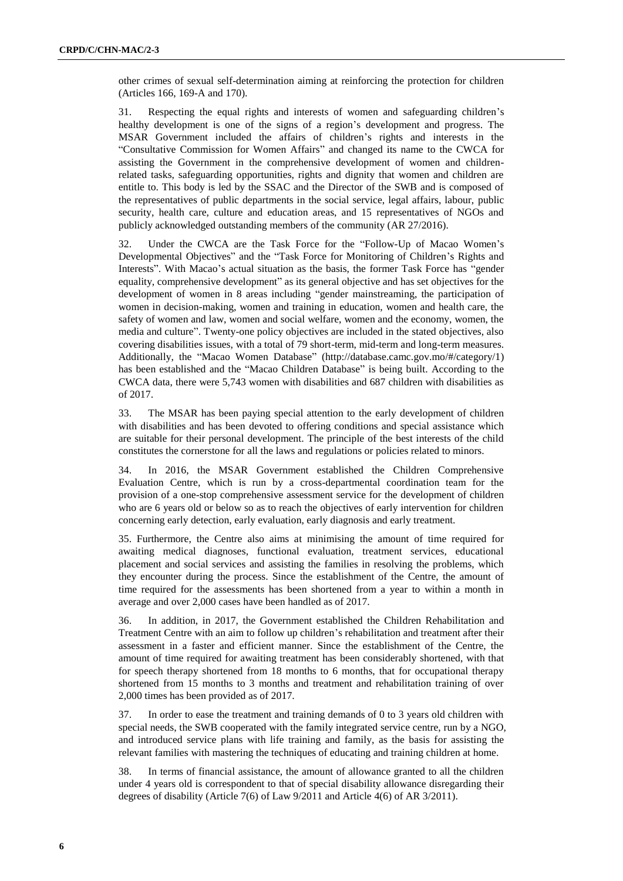other crimes of sexual self-determination aiming at reinforcing the protection for children (Articles 166, 169-A and 170).

31. Respecting the equal rights and interests of women and safeguarding children's healthy development is one of the signs of a region's development and progress. The MSAR Government included the affairs of children's rights and interests in the "Consultative Commission for Women Affairs" and changed its name to the CWCA for assisting the Government in the comprehensive development of women and childrenrelated tasks, safeguarding opportunities, rights and dignity that women and children are entitle to. This body is led by the SSAC and the Director of the SWB and is composed of the representatives of public departments in the social service, legal affairs, labour, public security, health care, culture and education areas, and 15 representatives of NGOs and publicly acknowledged outstanding members of the community (AR 27/2016).

32. Under the CWCA are the Task Force for the "Follow-Up of Macao Women's Developmental Objectives" and the "Task Force for Monitoring of Children's Rights and Interests". With Macao's actual situation as the basis, the former Task Force has "gender equality, comprehensive development" as its general objective and has set objectives for the development of women in 8 areas including "gender mainstreaming, the participation of women in decision-making, women and training in education, women and health care, the safety of women and law, women and social welfare, women and the economy, women, the media and culture". Twenty-one policy objectives are included in the stated objectives, also covering disabilities issues, with a total of 79 short-term, mid-term and long-term measures. Additionally, the "Macao Women Database" (http://database.camc.gov.mo/#/category/1) has been established and the "Macao Children Database" is being built. According to the CWCA data, there were 5,743 women with disabilities and 687 children with disabilities as of 2017.

33. The MSAR has been paying special attention to the early development of children with disabilities and has been devoted to offering conditions and special assistance which are suitable for their personal development. The principle of the best interests of the child constitutes the cornerstone for all the laws and regulations or policies related to minors.

34. In 2016, the MSAR Government established the Children Comprehensive Evaluation Centre, which is run by a cross-departmental coordination team for the provision of a one-stop comprehensive assessment service for the development of children who are 6 years old or below so as to reach the objectives of early intervention for children concerning early detection, early evaluation, early diagnosis and early treatment.

35. Furthermore, the Centre also aims at minimising the amount of time required for awaiting medical diagnoses, functional evaluation, treatment services, educational placement and social services and assisting the families in resolving the problems, which they encounter during the process. Since the establishment of the Centre, the amount of time required for the assessments has been shortened from a year to within a month in average and over 2,000 cases have been handled as of 2017.

36. In addition, in 2017, the Government established the Children Rehabilitation and Treatment Centre with an aim to follow up children's rehabilitation and treatment after their assessment in a faster and efficient manner. Since the establishment of the Centre, the amount of time required for awaiting treatment has been considerably shortened, with that for speech therapy shortened from 18 months to 6 months, that for occupational therapy shortened from 15 months to 3 months and treatment and rehabilitation training of over 2,000 times has been provided as of 2017.

37. In order to ease the treatment and training demands of 0 to 3 years old children with special needs, the SWB cooperated with the family integrated service centre, run by a NGO, and introduced service plans with life training and family, as the basis for assisting the relevant families with mastering the techniques of educating and training children at home.

38. In terms of financial assistance, the amount of allowance granted to all the children under 4 years old is correspondent to that of special disability allowance disregarding their degrees of disability (Article 7(6) of Law 9/2011 and Article 4(6) of AR 3/2011).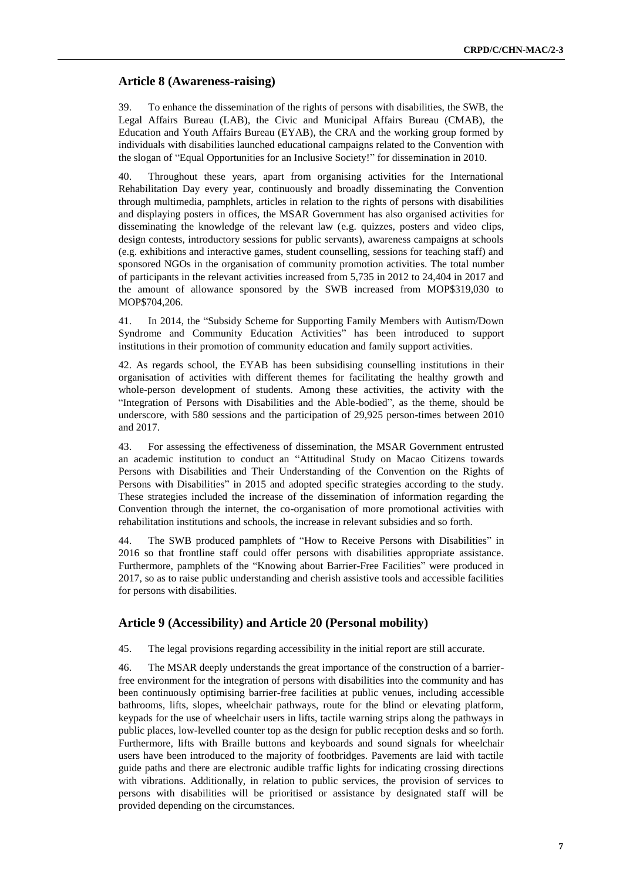#### **Article 8 (Awareness-raising)**

39. To enhance the dissemination of the rights of persons with disabilities, the SWB, the Legal Affairs Bureau (LAB), the Civic and Municipal Affairs Bureau (CMAB), the Education and Youth Affairs Bureau (EYAB), the CRA and the working group formed by individuals with disabilities launched educational campaigns related to the Convention with the slogan of "Equal Opportunities for an Inclusive Society!" for dissemination in 2010.

40. Throughout these years, apart from organising activities for the International Rehabilitation Day every year, continuously and broadly disseminating the Convention through multimedia, pamphlets, articles in relation to the rights of persons with disabilities and displaying posters in offices, the MSAR Government has also organised activities for disseminating the knowledge of the relevant law (e.g. quizzes, posters and video clips, design contests, introductory sessions for public servants), awareness campaigns at schools (e.g. exhibitions and interactive games, student counselling, sessions for teaching staff) and sponsored NGOs in the organisation of community promotion activities. The total number of participants in the relevant activities increased from 5,735 in 2012 to 24,404 in 2017 and the amount of allowance sponsored by the SWB increased from MOP\$319,030 to MOP\$704,206.

41. In 2014, the "Subsidy Scheme for Supporting Family Members with Autism/Down Syndrome and Community Education Activities" has been introduced to support institutions in their promotion of community education and family support activities.

42. As regards school, the EYAB has been subsidising counselling institutions in their organisation of activities with different themes for facilitating the healthy growth and whole-person development of students. Among these activities, the activity with the "Integration of Persons with Disabilities and the Able-bodied", as the theme, should be underscore, with 580 sessions and the participation of 29,925 person-times between 2010 and 2017.

43. For assessing the effectiveness of dissemination, the MSAR Government entrusted an academic institution to conduct an "Attitudinal Study on Macao Citizens towards Persons with Disabilities and Their Understanding of the Convention on the Rights of Persons with Disabilities" in 2015 and adopted specific strategies according to the study. These strategies included the increase of the dissemination of information regarding the Convention through the internet, the co-organisation of more promotional activities with rehabilitation institutions and schools, the increase in relevant subsidies and so forth.

44. The SWB produced pamphlets of "How to Receive Persons with Disabilities" in 2016 so that frontline staff could offer persons with disabilities appropriate assistance. Furthermore, pamphlets of the "Knowing about Barrier-Free Facilities" were produced in 2017, so as to raise public understanding and cherish assistive tools and accessible facilities for persons with disabilities.

### **Article 9 (Accessibility) and Article 20 (Personal mobility)**

45. The legal provisions regarding accessibility in the initial report are still accurate.

46. The MSAR deeply understands the great importance of the construction of a barrierfree environment for the integration of persons with disabilities into the community and has been continuously optimising barrier-free facilities at public venues, including accessible bathrooms, lifts, slopes, wheelchair pathways, route for the blind or elevating platform, keypads for the use of wheelchair users in lifts, tactile warning strips along the pathways in public places, low-levelled counter top as the design for public reception desks and so forth. Furthermore, lifts with Braille buttons and keyboards and sound signals for wheelchair users have been introduced to the majority of footbridges. Pavements are laid with tactile guide paths and there are electronic audible traffic lights for indicating crossing directions with vibrations. Additionally, in relation to public services, the provision of services to persons with disabilities will be prioritised or assistance by designated staff will be provided depending on the circumstances.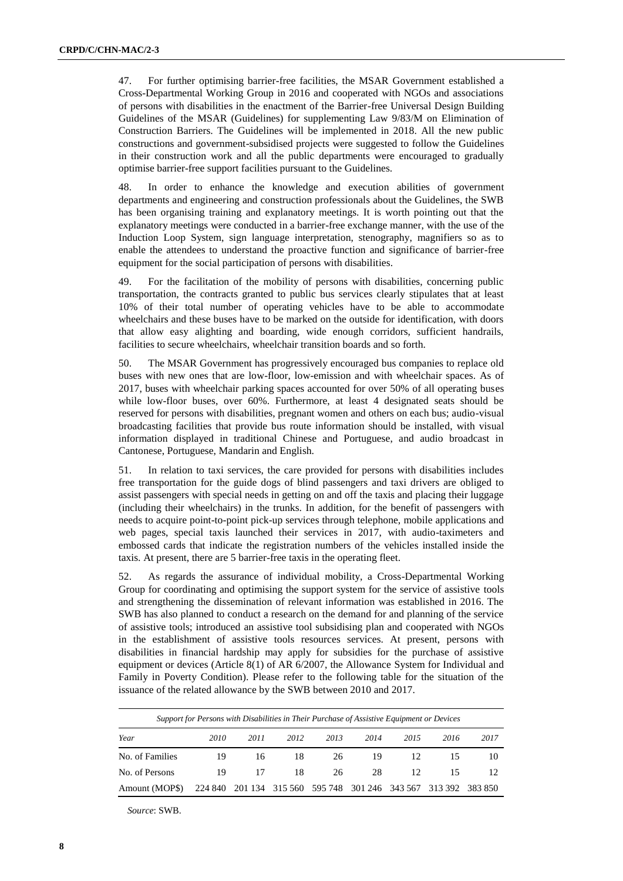47. For further optimising barrier-free facilities, the MSAR Government established a Cross-Departmental Working Group in 2016 and cooperated with NGOs and associations of persons with disabilities in the enactment of the Barrier-free Universal Design Building Guidelines of the MSAR (Guidelines) for supplementing Law 9/83/M on Elimination of Construction Barriers. The Guidelines will be implemented in 2018. All the new public constructions and government-subsidised projects were suggested to follow the Guidelines in their construction work and all the public departments were encouraged to gradually optimise barrier-free support facilities pursuant to the Guidelines.

48. In order to enhance the knowledge and execution abilities of government departments and engineering and construction professionals about the Guidelines, the SWB has been organising training and explanatory meetings. It is worth pointing out that the explanatory meetings were conducted in a barrier-free exchange manner, with the use of the Induction Loop System, sign language interpretation, stenography, magnifiers so as to enable the attendees to understand the proactive function and significance of barrier-free equipment for the social participation of persons with disabilities.

49. For the facilitation of the mobility of persons with disabilities, concerning public transportation, the contracts granted to public bus services clearly stipulates that at least 10% of their total number of operating vehicles have to be able to accommodate wheelchairs and these buses have to be marked on the outside for identification, with doors that allow easy alighting and boarding, wide enough corridors, sufficient handrails, facilities to secure wheelchairs, wheelchair transition boards and so forth.

50. The MSAR Government has progressively encouraged bus companies to replace old buses with new ones that are low-floor, low-emission and with wheelchair spaces. As of 2017, buses with wheelchair parking spaces accounted for over 50% of all operating buses while low-floor buses, over 60%. Furthermore, at least 4 designated seats should be reserved for persons with disabilities, pregnant women and others on each bus; audio-visual broadcasting facilities that provide bus route information should be installed, with visual information displayed in traditional Chinese and Portuguese, and audio broadcast in Cantonese, Portuguese, Mandarin and English.

51. In relation to taxi services, the care provided for persons with disabilities includes free transportation for the guide dogs of blind passengers and taxi drivers are obliged to assist passengers with special needs in getting on and off the taxis and placing their luggage (including their wheelchairs) in the trunks. In addition, for the benefit of passengers with needs to acquire point-to-point pick-up services through telephone, mobile applications and web pages, special taxis launched their services in 2017, with audio-taximeters and embossed cards that indicate the registration numbers of the vehicles installed inside the taxis. At present, there are 5 barrier-free taxis in the operating fleet.

52. As regards the assurance of individual mobility, a Cross-Departmental Working Group for coordinating and optimising the support system for the service of assistive tools and strengthening the dissemination of relevant information was established in 2016. The SWB has also planned to conduct a research on the demand for and planning of the service of assistive tools; introduced an assistive tool subsidising plan and cooperated with NGOs in the establishment of assistive tools resources services. At present, persons with disabilities in financial hardship may apply for subsidies for the purchase of assistive equipment or devices (Article 8(1) of AR 6/2007, the Allowance System for Individual and Family in Poverty Condition). Please refer to the following table for the situation of the issuance of the related allowance by the SWB between 2010 and 2017.

|                 | Support for Persons with Disabilities in Their Purchase of Assistive Equipment or Devices |      |                                 |      |                 |      |                 |      |  |  |  |  |  |  |  |
|-----------------|-------------------------------------------------------------------------------------------|------|---------------------------------|------|-----------------|------|-----------------|------|--|--|--|--|--|--|--|
| Year            | 2010                                                                                      | 2011 | 2012                            | 2013 | 2014            | 2015 | 2016            | 2017 |  |  |  |  |  |  |  |
| No. of Families | 19                                                                                        | 16   | 18                              | 26   | 19              | 12   |                 | 10   |  |  |  |  |  |  |  |
| No. of Persons  | 19                                                                                        | 17   | 18                              | 26   | 28              | 12   | 15              |      |  |  |  |  |  |  |  |
| Amount (MOPS)   |                                                                                           |      | 224 840 201 134 315 560 595 748 |      | 301 246 343 567 |      | 313 392 383 850 |      |  |  |  |  |  |  |  |

*Source*: SWB.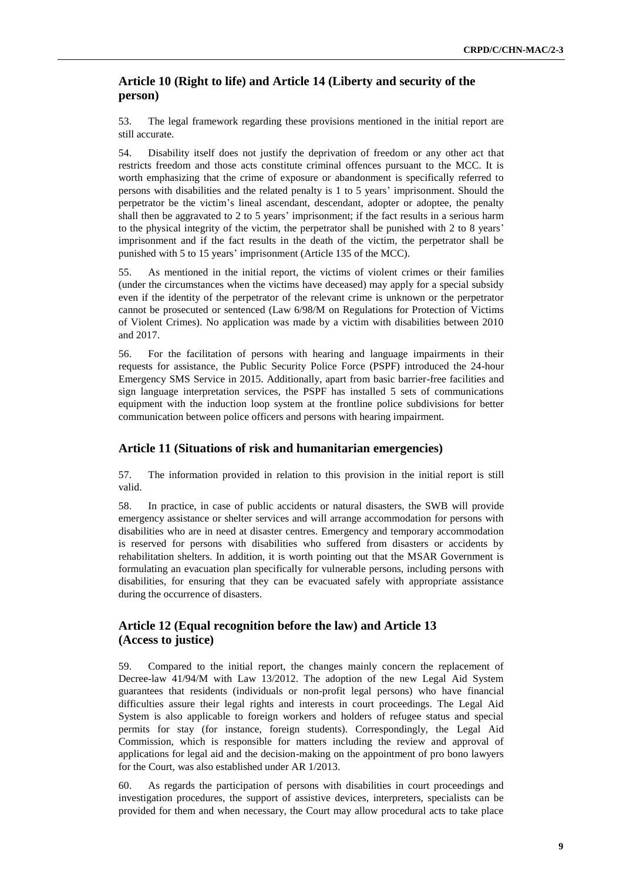# **Article 10 (Right to life) and Article 14 (Liberty and security of the person)**

53. The legal framework regarding these provisions mentioned in the initial report are still accurate.

54. Disability itself does not justify the deprivation of freedom or any other act that restricts freedom and those acts constitute criminal offences pursuant to the MCC. It is worth emphasizing that the crime of exposure or abandonment is specifically referred to persons with disabilities and the related penalty is 1 to 5 years' imprisonment. Should the perpetrator be the victim's lineal ascendant, descendant, adopter or adoptee, the penalty shall then be aggravated to 2 to 5 years' imprisonment; if the fact results in a serious harm to the physical integrity of the victim, the perpetrator shall be punished with 2 to 8 years' imprisonment and if the fact results in the death of the victim, the perpetrator shall be punished with 5 to 15 years' imprisonment (Article 135 of the MCC).

55. As mentioned in the initial report, the victims of violent crimes or their families (under the circumstances when the victims have deceased) may apply for a special subsidy even if the identity of the perpetrator of the relevant crime is unknown or the perpetrator cannot be prosecuted or sentenced (Law 6/98/M on Regulations for Protection of Victims of Violent Crimes). No application was made by a victim with disabilities between 2010 and 2017.

56. For the facilitation of persons with hearing and language impairments in their requests for assistance, the Public Security Police Force (PSPF) introduced the 24-hour Emergency SMS Service in 2015. Additionally, apart from basic barrier-free facilities and sign language interpretation services, the PSPF has installed 5 sets of communications equipment with the induction loop system at the frontline police subdivisions for better communication between police officers and persons with hearing impairment.

# **Article 11 (Situations of risk and humanitarian emergencies)**

57. The information provided in relation to this provision in the initial report is still valid.

58. In practice, in case of public accidents or natural disasters, the SWB will provide emergency assistance or shelter services and will arrange accommodation for persons with disabilities who are in need at disaster centres. Emergency and temporary accommodation is reserved for persons with disabilities who suffered from disasters or accidents by rehabilitation shelters. In addition, it is worth pointing out that the MSAR Government is formulating an evacuation plan specifically for vulnerable persons, including persons with disabilities, for ensuring that they can be evacuated safely with appropriate assistance during the occurrence of disasters.

# **Article 12 (Equal recognition before the law) and Article 13 (Access to justice)**

59. Compared to the initial report, the changes mainly concern the replacement of Decree-law 41/94/M with Law 13/2012. The adoption of the new Legal Aid System guarantees that residents (individuals or non-profit legal persons) who have financial difficulties assure their legal rights and interests in court proceedings. The Legal Aid System is also applicable to foreign workers and holders of refugee status and special permits for stay (for instance, foreign students). Correspondingly, the Legal Aid Commission, which is responsible for matters including the review and approval of applications for legal aid and the decision-making on the appointment of pro bono lawyers for the Court, was also established under AR 1/2013.

60. As regards the participation of persons with disabilities in court proceedings and investigation procedures, the support of assistive devices, interpreters, specialists can be provided for them and when necessary, the Court may allow procedural acts to take place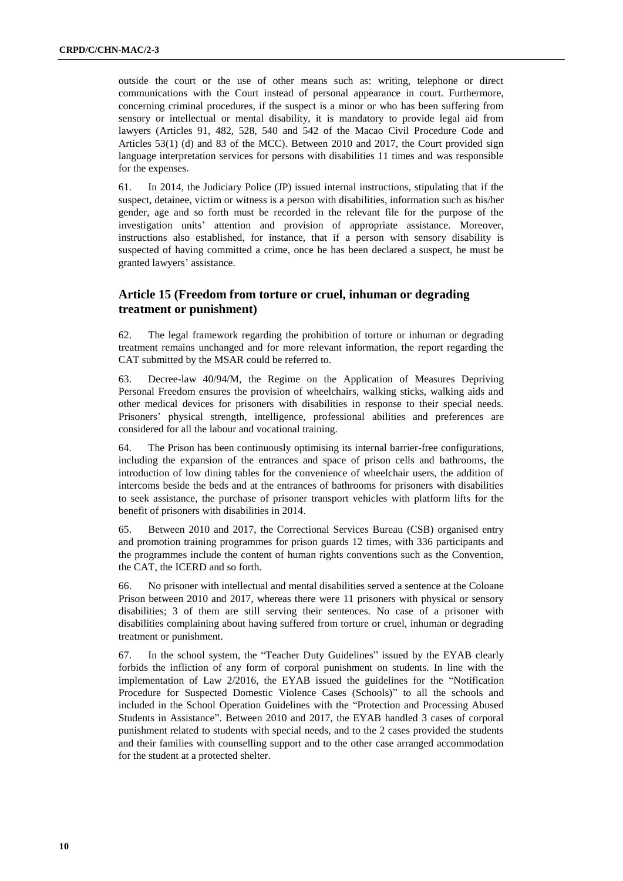outside the court or the use of other means such as: writing, telephone or direct communications with the Court instead of personal appearance in court. Furthermore, concerning criminal procedures, if the suspect is a minor or who has been suffering from sensory or intellectual or mental disability, it is mandatory to provide legal aid from lawyers (Articles 91, 482, 528, 540 and 542 of the Macao Civil Procedure Code and Articles 53(1) (d) and 83 of the MCC). Between 2010 and 2017, the Court provided sign language interpretation services for persons with disabilities 11 times and was responsible for the expenses.

61. In 2014, the Judiciary Police (JP) issued internal instructions, stipulating that if the suspect, detainee, victim or witness is a person with disabilities, information such as his/her gender, age and so forth must be recorded in the relevant file for the purpose of the investigation units' attention and provision of appropriate assistance. Moreover, instructions also established, for instance, that if a person with sensory disability is suspected of having committed a crime, once he has been declared a suspect, he must be granted lawyers' assistance.

# **Article 15 (Freedom from torture or cruel, inhuman or degrading treatment or punishment)**

62. The legal framework regarding the prohibition of torture or inhuman or degrading treatment remains unchanged and for more relevant information, the report regarding the CAT submitted by the MSAR could be referred to.

63. Decree-law 40/94/M, the Regime on the Application of Measures Depriving Personal Freedom ensures the provision of wheelchairs, walking sticks, walking aids and other medical devices for prisoners with disabilities in response to their special needs. Prisoners' physical strength, intelligence, professional abilities and preferences are considered for all the labour and vocational training.

64. The Prison has been continuously optimising its internal barrier-free configurations, including the expansion of the entrances and space of prison cells and bathrooms, the introduction of low dining tables for the convenience of wheelchair users, the addition of intercoms beside the beds and at the entrances of bathrooms for prisoners with disabilities to seek assistance, the purchase of prisoner transport vehicles with platform lifts for the benefit of prisoners with disabilities in 2014.

65. Between 2010 and 2017, the Correctional Services Bureau (CSB) organised entry and promotion training programmes for prison guards 12 times, with 336 participants and the programmes include the content of human rights conventions such as the Convention, the CAT, the ICERD and so forth.

66. No prisoner with intellectual and mental disabilities served a sentence at the Coloane Prison between 2010 and 2017, whereas there were 11 prisoners with physical or sensory disabilities; 3 of them are still serving their sentences. No case of a prisoner with disabilities complaining about having suffered from torture or cruel, inhuman or degrading treatment or punishment.

67. In the school system, the "Teacher Duty Guidelines" issued by the EYAB clearly forbids the infliction of any form of corporal punishment on students. In line with the implementation of Law 2/2016, the EYAB issued the guidelines for the "Notification Procedure for Suspected Domestic Violence Cases (Schools)" to all the schools and included in the School Operation Guidelines with the "Protection and Processing Abused Students in Assistance". Between 2010 and 2017, the EYAB handled 3 cases of corporal punishment related to students with special needs, and to the 2 cases provided the students and their families with counselling support and to the other case arranged accommodation for the student at a protected shelter.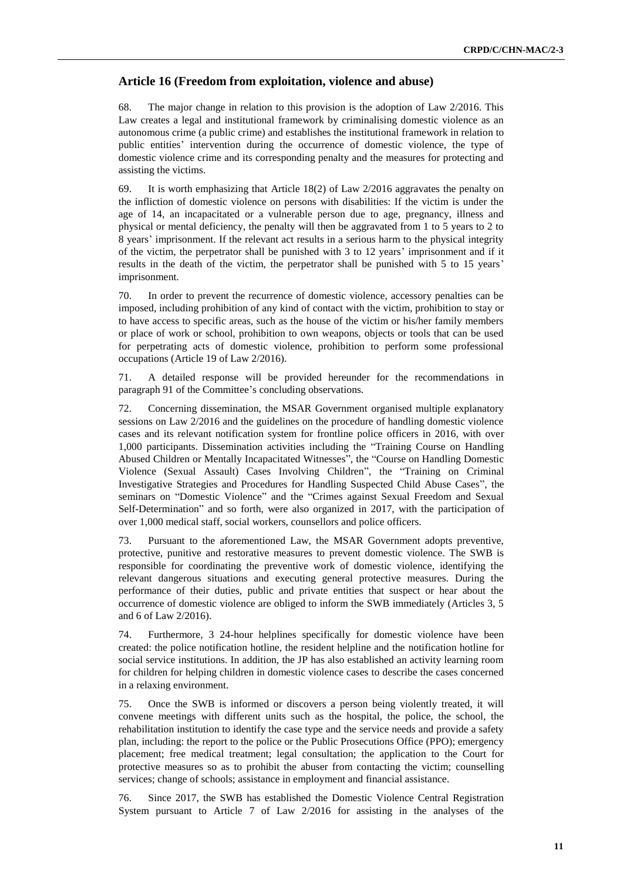#### **Article 16 (Freedom from exploitation, violence and abuse)**

68. The major change in relation to this provision is the adoption of Law 2/2016. This Law creates a legal and institutional framework by criminalising domestic violence as an autonomous crime (a public crime) and establishes the institutional framework in relation to public entities' intervention during the occurrence of domestic violence, the type of domestic violence crime and its corresponding penalty and the measures for protecting and assisting the victims.

69. It is worth emphasizing that Article 18(2) of Law 2/2016 aggravates the penalty on the infliction of domestic violence on persons with disabilities: If the victim is under the age of 14, an incapacitated or a vulnerable person due to age, pregnancy, illness and physical or mental deficiency, the penalty will then be aggravated from 1 to 5 years to 2 to 8 years' imprisonment. If the relevant act results in a serious harm to the physical integrity of the victim, the perpetrator shall be punished with 3 to 12 years' imprisonment and if it results in the death of the victim, the perpetrator shall be punished with 5 to 15 years' imprisonment.

70. In order to prevent the recurrence of domestic violence, accessory penalties can be imposed, including prohibition of any kind of contact with the victim, prohibition to stay or to have access to specific areas, such as the house of the victim or his/her family members or place of work or school, prohibition to own weapons, objects or tools that can be used for perpetrating acts of domestic violence, prohibition to perform some professional occupations (Article 19 of Law 2/2016).

71. A detailed response will be provided hereunder for the recommendations in paragraph 91 of the Committee's concluding observations.

72. Concerning dissemination, the MSAR Government organised multiple explanatory sessions on Law 2/2016 and the guidelines on the procedure of handling domestic violence cases and its relevant notification system for frontline police officers in 2016, with over 1,000 participants. Dissemination activities including the "Training Course on Handling Abused Children or Mentally Incapacitated Witnesses", the "Course on Handling Domestic Violence (Sexual Assault) Cases Involving Children", the "Training on Criminal Investigative Strategies and Procedures for Handling Suspected Child Abuse Cases", the seminars on "Domestic Violence" and the "Crimes against Sexual Freedom and Sexual Self-Determination" and so forth, were also organized in 2017, with the participation of over 1,000 medical staff, social workers, counsellors and police officers.

73. Pursuant to the aforementioned Law, the MSAR Government adopts preventive, protective, punitive and restorative measures to prevent domestic violence. The SWB is responsible for coordinating the preventive work of domestic violence, identifying the relevant dangerous situations and executing general protective measures. During the performance of their duties, public and private entities that suspect or hear about the occurrence of domestic violence are obliged to inform the SWB immediately (Articles 3, 5 and 6 of Law 2/2016).

74. Furthermore, 3 24-hour helplines specifically for domestic violence have been created: the police notification hotline, the resident helpline and the notification hotline for social service institutions. In addition, the JP has also established an activity learning room for children for helping children in domestic violence cases to describe the cases concerned in a relaxing environment.

75. Once the SWB is informed or discovers a person being violently treated, it will convene meetings with different units such as the hospital, the police, the school, the rehabilitation institution to identify the case type and the service needs and provide a safety plan, including: the report to the police or the Public Prosecutions Office (PPO); emergency placement; free medical treatment; legal consultation; the application to the Court for protective measures so as to prohibit the abuser from contacting the victim; counselling services; change of schools; assistance in employment and financial assistance.

76. Since 2017, the SWB has established the Domestic Violence Central Registration System pursuant to Article 7 of Law 2/2016 for assisting in the analyses of the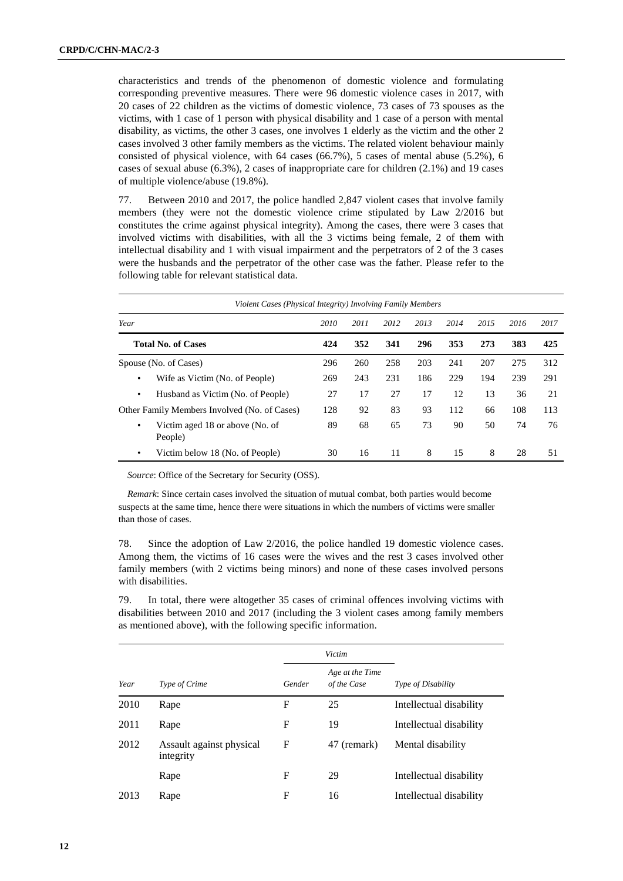characteristics and trends of the phenomenon of domestic violence and formulating corresponding preventive measures. There were 96 domestic violence cases in 2017, with 20 cases of 22 children as the victims of domestic violence, 73 cases of 73 spouses as the victims, with 1 case of 1 person with physical disability and 1 case of a person with mental disability, as victims, the other 3 cases, one involves 1 elderly as the victim and the other 2 cases involved 3 other family members as the victims. The related violent behaviour mainly consisted of physical violence, with 64 cases (66.7%), 5 cases of mental abuse (5.2%), 6 cases of sexual abuse (6.3%), 2 cases of inappropriate care for children (2.1%) and 19 cases of multiple violence/abuse (19.8%).

77. Between 2010 and 2017, the police handled 2,847 violent cases that involve family members (they were not the domestic violence crime stipulated by Law 2/2016 but constitutes the crime against physical integrity). Among the cases, there were 3 cases that involved victims with disabilities, with all the 3 victims being female, 2 of them with intellectual disability and 1 with visual impairment and the perpetrators of 2 of the 3 cases were the husbands and the perpetrator of the other case was the father. Please refer to the following table for relevant statistical data.

| Violent Cases (Physical Integrity) Involving Family Members |      |      |      |      |      |      |      |      |
|-------------------------------------------------------------|------|------|------|------|------|------|------|------|
| Year                                                        | 2010 | 2011 | 2012 | 2013 | 2014 | 2015 | 2016 | 2017 |
| <b>Total No. of Cases</b>                                   | 424  | 352  | 341  | 296  | 353  | 273  | 383  | 425  |
| Spouse (No. of Cases)                                       | 296  | 260  | 258  | 203  | 241  | 207  | 275  | 312  |
| Wife as Victim (No. of People)<br>$\bullet$                 | 269  | 243  | 231  | 186  | 229  | 194  | 239  | 291  |
| Husband as Victim (No. of People)<br>$\bullet$              | 27   | 17   | 27   | 17   | 12   | 13   | 36   | 21   |
| Other Family Members Involved (No. of Cases)                | 128  | 92   | 83   | 93   | 112  | 66   | 108  | 113  |
| Victim aged 18 or above (No. of<br>$\bullet$<br>People)     | 89   | 68   | 65   | 73   | 90   | 50   | 74   | 76   |
| Victim below 18 (No. of People)<br>٠                        | 30   | 16   | 11   | 8    | 15   | 8    | 28   | 51   |

*Source*: Office of the Secretary for Security (OSS).

*Remark*: Since certain cases involved the situation of mutual combat, both parties would become suspects at the same time, hence there were situations in which the numbers of victims were smaller than those of cases.

78. Since the adoption of Law 2/2016, the police handled 19 domestic violence cases. Among them, the victims of 16 cases were the wives and the rest 3 cases involved other family members (with 2 victims being minors) and none of these cases involved persons with disabilities.

79. In total, there were altogether 35 cases of criminal offences involving victims with disabilities between 2010 and 2017 (including the 3 violent cases among family members as mentioned above), with the following specific information.

|      |                                       |        | Victim                         |                         |
|------|---------------------------------------|--------|--------------------------------|-------------------------|
| Year | Type of Crime                         | Gender | Age at the Time<br>of the Case | Type of Disability      |
| 2010 | Rape                                  | F      | 25                             | Intellectual disability |
| 2011 | Rape                                  | F      | 19                             | Intellectual disability |
| 2012 | Assault against physical<br>integrity | F      | 47 (remark)                    | Mental disability       |
|      | Rape                                  | F      | 29                             | Intellectual disability |
| 2013 | Rape                                  | F      | 16                             | Intellectual disability |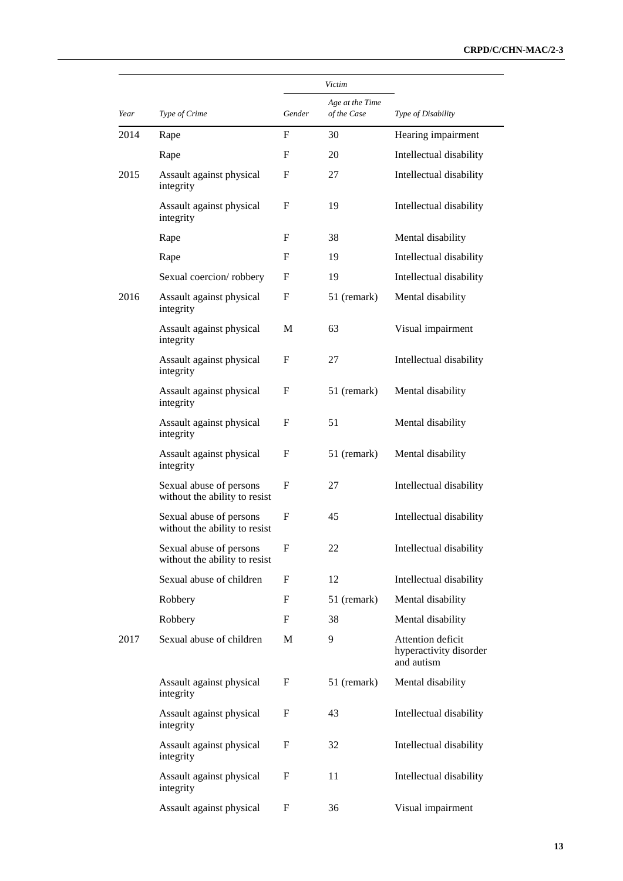|      |                                                          |        | Victim                         |                                                           |
|------|----------------------------------------------------------|--------|--------------------------------|-----------------------------------------------------------|
| Year | Type of Crime                                            | Gender | Age at the Time<br>of the Case | Type of Disability                                        |
| 2014 | Rape                                                     | F      | 30                             | Hearing impairment                                        |
|      | Rape                                                     | F      | 20                             | Intellectual disability                                   |
| 2015 | Assault against physical<br>integrity                    | F      | 27                             | Intellectual disability                                   |
|      | Assault against physical<br>integrity                    | F      | 19                             | Intellectual disability                                   |
|      | Rape                                                     | F      | 38                             | Mental disability                                         |
|      | Rape                                                     | F      | 19                             | Intellectual disability                                   |
|      | Sexual coercion/robbery                                  | F      | 19                             | Intellectual disability                                   |
| 2016 | Assault against physical<br>integrity                    | F      | 51 (remark)                    | Mental disability                                         |
|      | Assault against physical<br>integrity                    | М      | 63                             | Visual impairment                                         |
|      | Assault against physical<br>integrity                    | F      | 27                             | Intellectual disability                                   |
|      | Assault against physical<br>integrity                    | F      | 51 (remark)                    | Mental disability                                         |
|      | Assault against physical<br>integrity                    | F      | 51                             | Mental disability                                         |
|      | Assault against physical<br>integrity                    | F      | 51 (remark)                    | Mental disability                                         |
|      | Sexual abuse of persons<br>without the ability to resist | F      | 27                             | Intellectual disability                                   |
|      | Sexual abuse of persons<br>without the ability to resist | F      | 45                             | Intellectual disability                                   |
|      | Sexual abuse of persons<br>without the ability to resist | F      | 22                             | Intellectual disability                                   |
|      | Sexual abuse of children                                 | F      | 12                             | Intellectual disability                                   |
|      | Robbery                                                  | F      | 51 (remark)                    | Mental disability                                         |
|      | Robbery                                                  | F      | 38                             | Mental disability                                         |
| 2017 | Sexual abuse of children                                 | М      | 9                              | Attention deficit<br>hyperactivity disorder<br>and autism |
|      | Assault against physical<br>integrity                    | F      | 51 (remark)                    | Mental disability                                         |
|      | Assault against physical<br>integrity                    | F      | 43                             | Intellectual disability                                   |
|      | Assault against physical<br>integrity                    | F      | 32                             | Intellectual disability                                   |
|      | Assault against physical<br>integrity                    | F      | 11                             | Intellectual disability                                   |
|      | Assault against physical                                 | F      | 36                             | Visual impairment                                         |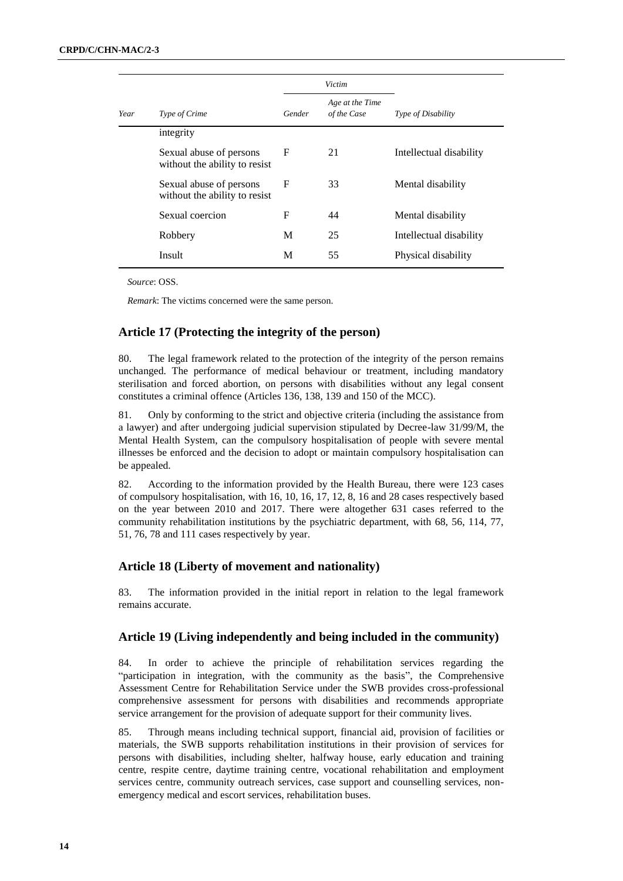|      |                                                          |        | Victim                         |                         |
|------|----------------------------------------------------------|--------|--------------------------------|-------------------------|
| Year | Type of Crime                                            | Gender | Age at the Time<br>of the Case | Type of Disability      |
|      | integrity                                                |        |                                |                         |
|      | Sexual abuse of persons<br>without the ability to resist | F      | 21                             | Intellectual disability |
|      | Sexual abuse of persons<br>without the ability to resist | F      | 33                             | Mental disability       |
|      | Sexual coercion                                          | F      | 44                             | Mental disability       |
|      | Robbery                                                  | M      | 25                             | Intellectual disability |
|      | Insult                                                   | M      | 55                             | Physical disability     |

*Source*: OSS.

*Remark*: The victims concerned were the same person.

### **Article 17 (Protecting the integrity of the person)**

80. The legal framework related to the protection of the integrity of the person remains unchanged. The performance of medical behaviour or treatment, including mandatory sterilisation and forced abortion, on persons with disabilities without any legal consent constitutes a criminal offence (Articles 136, 138, 139 and 150 of the MCC).

81. Only by conforming to the strict and objective criteria (including the assistance from a lawyer) and after undergoing judicial supervision stipulated by Decree-law 31/99/M, the Mental Health System, can the compulsory hospitalisation of people with severe mental illnesses be enforced and the decision to adopt or maintain compulsory hospitalisation can be appealed.

82. According to the information provided by the Health Bureau, there were 123 cases of compulsory hospitalisation, with 16, 10, 16, 17, 12, 8, 16 and 28 cases respectively based on the year between 2010 and 2017. There were altogether 631 cases referred to the community rehabilitation institutions by the psychiatric department, with 68, 56, 114, 77, 51, 76, 78 and 111 cases respectively by year.

#### **Article 18 (Liberty of movement and nationality)**

83. The information provided in the initial report in relation to the legal framework remains accurate.

#### **Article 19 (Living independently and being included in the community)**

84. In order to achieve the principle of rehabilitation services regarding the "participation in integration, with the community as the basis", the Comprehensive Assessment Centre for Rehabilitation Service under the SWB provides cross-professional comprehensive assessment for persons with disabilities and recommends appropriate service arrangement for the provision of adequate support for their community lives.

85. Through means including technical support, financial aid, provision of facilities or materials, the SWB supports rehabilitation institutions in their provision of services for persons with disabilities, including shelter, halfway house, early education and training centre, respite centre, daytime training centre, vocational rehabilitation and employment services centre, community outreach services, case support and counselling services, nonemergency medical and escort services, rehabilitation buses.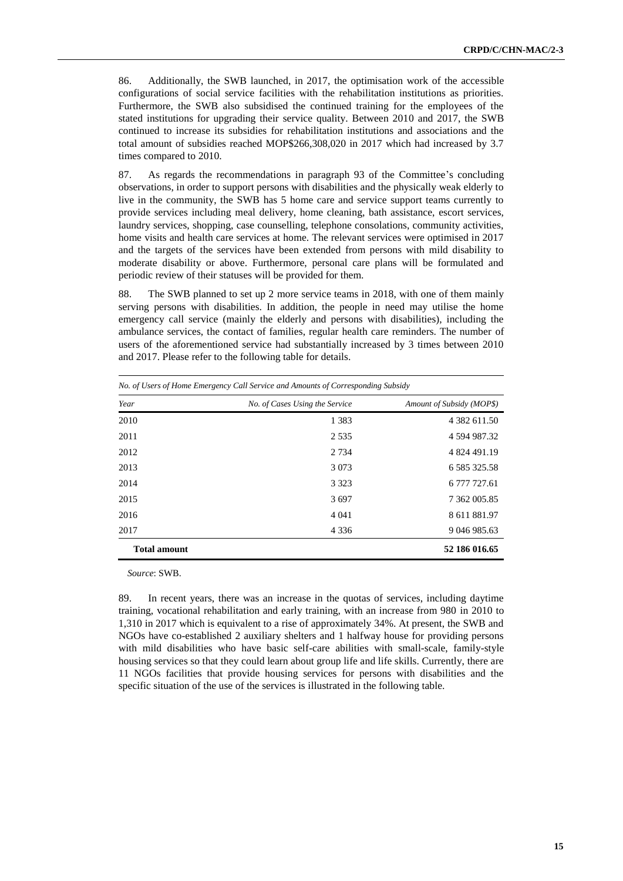86. Additionally, the SWB launched, in 2017, the optimisation work of the accessible configurations of social service facilities with the rehabilitation institutions as priorities. Furthermore, the SWB also subsidised the continued training for the employees of the stated institutions for upgrading their service quality. Between 2010 and 2017, the SWB continued to increase its subsidies for rehabilitation institutions and associations and the total amount of subsidies reached MOP\$266,308,020 in 2017 which had increased by 3.7 times compared to 2010.

87. As regards the recommendations in paragraph 93 of the Committee's concluding observations, in order to support persons with disabilities and the physically weak elderly to live in the community, the SWB has 5 home care and service support teams currently to provide services including meal delivery, home cleaning, bath assistance, escort services, laundry services, shopping, case counselling, telephone consolations, community activities, home visits and health care services at home. The relevant services were optimised in 2017 and the targets of the services have been extended from persons with mild disability to moderate disability or above. Furthermore, personal care plans will be formulated and periodic review of their statuses will be provided for them.

88. The SWB planned to set up 2 more service teams in 2018, with one of them mainly serving persons with disabilities. In addition, the people in need may utilise the home emergency call service (mainly the elderly and persons with disabilities), including the ambulance services, the contact of families, regular health care reminders. The number of users of the aforementioned service had substantially increased by 3 times between 2010 and 2017. Please refer to the following table for details.

|                     | NO. Of Users of Home Emergency Call Service and Amounts of Corresponding Subsidy |                           |
|---------------------|----------------------------------------------------------------------------------|---------------------------|
| Year                | No. of Cases Using the Service                                                   | Amount of Subsidy (MOP\$) |
| 2010                | 1 3 8 3                                                                          | 4 3 8 2 6 1 1 .50         |
| 2011                | 2 5 3 5                                                                          | 4 594 987.32              |
| 2012                | 2 7 3 4                                                                          | 4 824 491.19              |
| 2013                | 3 0 7 3                                                                          | 6 5 8 5 3 2 5 .5 8        |
| 2014                | 3 3 2 3                                                                          | 6 777 727.61              |
| 2015                | 3697                                                                             | 7 362 005.85              |
| 2016                | 4 0 4 1                                                                          | 8 611 881.97              |
| 2017                | 4 3 3 6                                                                          | 9 046 985.63              |
| <b>Total amount</b> |                                                                                  | 52 186 016.65             |

*No. of Users of Home Emergency Call Service and Amounts of Corresponding Subsidy*

*Source*: SWB.

89. In recent years, there was an increase in the quotas of services, including daytime training, vocational rehabilitation and early training, with an increase from 980 in 2010 to 1,310 in 2017 which is equivalent to a rise of approximately 34%. At present, the SWB and NGOs have co-established 2 auxiliary shelters and 1 halfway house for providing persons with mild disabilities who have basic self-care abilities with small-scale, family-style housing services so that they could learn about group life and life skills. Currently, there are 11 NGOs facilities that provide housing services for persons with disabilities and the specific situation of the use of the services is illustrated in the following table.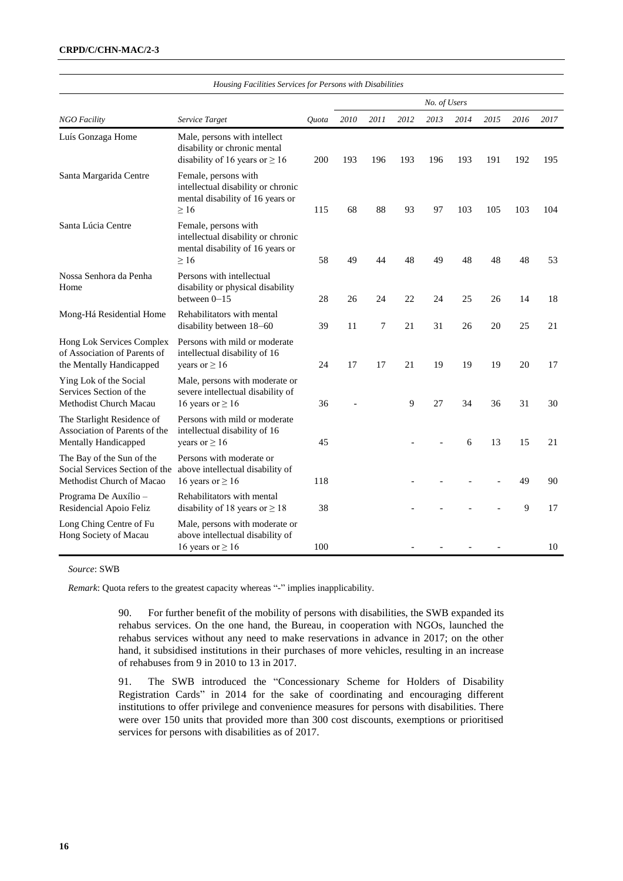#### **CRPD/C/CHN-MAC/2-3**

|                                                                                            | Housing Facilities Services for Persons with Disabilities                                                   |       |      |      |      |              |      |      |      |      |
|--------------------------------------------------------------------------------------------|-------------------------------------------------------------------------------------------------------------|-------|------|------|------|--------------|------|------|------|------|
|                                                                                            |                                                                                                             |       |      |      |      | No. of Users |      |      |      |      |
| <b>NGO Facility</b>                                                                        | Service Target                                                                                              | Quota | 2010 | 2011 | 2012 | 2013         | 2014 | 2015 | 2016 | 2017 |
| Luís Gonzaga Home                                                                          | Male, persons with intellect<br>disability or chronic mental<br>disability of 16 years or $\geq 16$         | 200   | 193  | 196  | 193  | 196          | 193  | 191  | 192  | 195  |
| Santa Margarida Centre                                                                     | Female, persons with<br>intellectual disability or chronic<br>mental disability of 16 years or<br>$\geq 16$ | 115   | 68   | 88   | 93   | 97           | 103  | 105  | 103  | 104  |
| Santa Lúcia Centre                                                                         | Female, persons with<br>intellectual disability or chronic<br>mental disability of 16 years or<br>$\geq 16$ | 58    | 49   | 44   | 48   | 49           | 48   | 48   | 48   | 53   |
| Nossa Senhora da Penha<br>Home                                                             | Persons with intellectual<br>disability or physical disability<br>between $0 - 15$                          | 28    | 26   | 24   | 22   | 24           | 25   | 26   | 14   | 18   |
| Mong-Há Residential Home                                                                   | Rehabilitators with mental<br>disability between 18-60                                                      | 39    | 11   | 7    | 21   | 31           | 26   | 20   | 25   | 21   |
| Hong Lok Services Complex<br>of Association of Parents of<br>the Mentally Handicapped      | Persons with mild or moderate<br>intellectual disability of 16<br>years or $\geq 16$                        | 24    | 17   | 17   | 21   | 19           | 19   | 19   | 20   | 17   |
| Ying Lok of the Social<br>Services Section of the<br>Methodist Church Macau                | Male, persons with moderate or<br>severe intellectual disability of<br>16 years or $\geq 16$                | 36    |      |      | 9    | 27           | 34   | 36   | 31   | 30   |
| The Starlight Residence of<br>Association of Parents of the<br><b>Mentally Handicapped</b> | Persons with mild or moderate<br>intellectual disability of 16<br>years or $\geq 16$                        | 45    |      |      |      |              | 6    | 13   | 15   | 21   |
| The Bay of the Sun of the<br>Social Services Section of the<br>Methodist Church of Macao   | Persons with moderate or<br>above intellectual disability of<br>16 years or $\geq$ 16                       | 118   |      |      |      |              |      |      | 49   | 90   |
| Programa De Auxílio -<br>Residencial Apoio Feliz                                           | Rehabilitators with mental<br>disability of 18 years or $\geq 18$                                           | 38    |      |      |      |              |      |      | 9    | 17   |
| Long Ching Centre of Fu<br>Hong Society of Macau                                           | Male, persons with moderate or<br>above intellectual disability of<br>16 years or $\geq$ 16                 | 100   |      |      |      |              |      |      |      | 10   |

*Source*: SWB

*Remark*: Quota refers to the greatest capacity whereas "-" implies inapplicability.

90. For further benefit of the mobility of persons with disabilities, the SWB expanded its rehabus services. On the one hand, the Bureau, in cooperation with NGOs, launched the rehabus services without any need to make reservations in advance in 2017; on the other hand, it subsidised institutions in their purchases of more vehicles, resulting in an increase of rehabuses from 9 in 2010 to 13 in 2017.

91. The SWB introduced the "Concessionary Scheme for Holders of Disability Registration Cards" in 2014 for the sake of coordinating and encouraging different institutions to offer privilege and convenience measures for persons with disabilities. There were over 150 units that provided more than 300 cost discounts, exemptions or prioritised services for persons with disabilities as of 2017.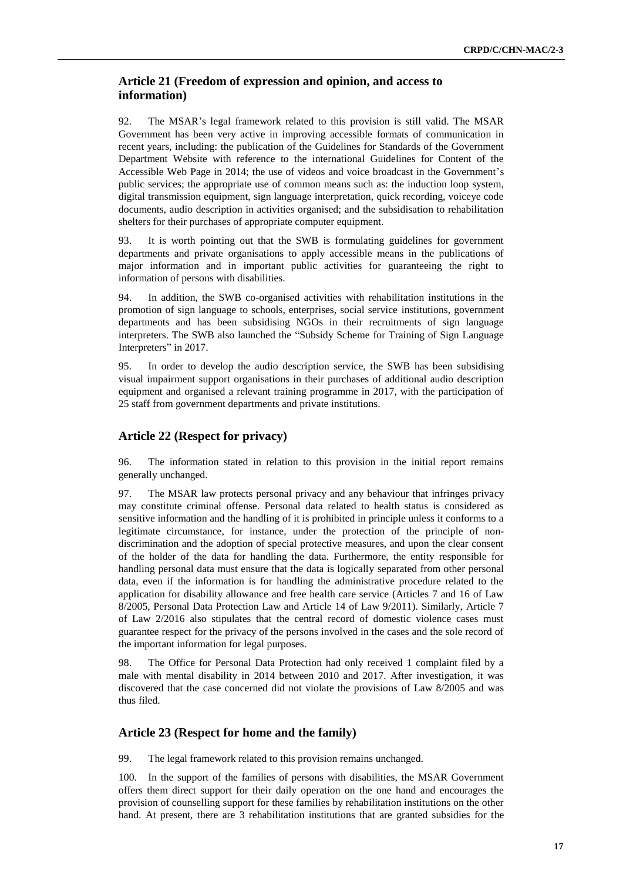# **Article 21 (Freedom of expression and opinion, and access to information)**

92. The MSAR's legal framework related to this provision is still valid. The MSAR Government has been very active in improving accessible formats of communication in recent years, including: the publication of the Guidelines for Standards of the Government Department Website with reference to the international Guidelines for Content of the Accessible Web Page in 2014; the use of videos and voice broadcast in the Government's public services; the appropriate use of common means such as: the induction loop system, digital transmission equipment, sign language interpretation, quick recording, voiceye code documents, audio description in activities organised; and the subsidisation to rehabilitation shelters for their purchases of appropriate computer equipment.

93. It is worth pointing out that the SWB is formulating guidelines for government departments and private organisations to apply accessible means in the publications of major information and in important public activities for guaranteeing the right to information of persons with disabilities.

94. In addition, the SWB co-organised activities with rehabilitation institutions in the promotion of sign language to schools, enterprises, social service institutions, government departments and has been subsidising NGOs in their recruitments of sign language interpreters. The SWB also launched the "Subsidy Scheme for Training of Sign Language Interpreters" in 2017.

95. In order to develop the audio description service, the SWB has been subsidising visual impairment support organisations in their purchases of additional audio description equipment and organised a relevant training programme in 2017, with the participation of 25 staff from government departments and private institutions.

# **Article 22 (Respect for privacy)**

96. The information stated in relation to this provision in the initial report remains generally unchanged.

97. The MSAR law protects personal privacy and any behaviour that infringes privacy may constitute criminal offense. Personal data related to health status is considered as sensitive information and the handling of it is prohibited in principle unless it conforms to a legitimate circumstance, for instance, under the protection of the principle of nondiscrimination and the adoption of special protective measures, and upon the clear consent of the holder of the data for handling the data. Furthermore, the entity responsible for handling personal data must ensure that the data is logically separated from other personal data, even if the information is for handling the administrative procedure related to the application for disability allowance and free health care service (Articles 7 and 16 of Law 8/2005, Personal Data Protection Law and Article 14 of Law 9/2011). Similarly, Article 7 of Law 2/2016 also stipulates that the central record of domestic violence cases must guarantee respect for the privacy of the persons involved in the cases and the sole record of the important information for legal purposes.

98. The Office for Personal Data Protection had only received 1 complaint filed by a male with mental disability in 2014 between 2010 and 2017. After investigation, it was discovered that the case concerned did not violate the provisions of Law 8/2005 and was thus filed.

### **Article 23 (Respect for home and the family)**

99. The legal framework related to this provision remains unchanged.

100. In the support of the families of persons with disabilities, the MSAR Government offers them direct support for their daily operation on the one hand and encourages the provision of counselling support for these families by rehabilitation institutions on the other hand. At present, there are 3 rehabilitation institutions that are granted subsidies for the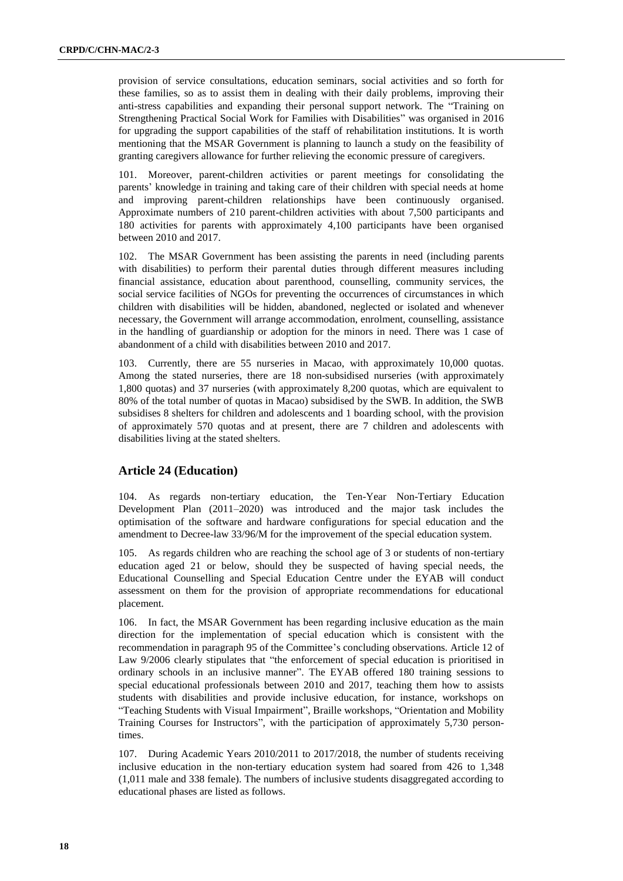provision of service consultations, education seminars, social activities and so forth for these families, so as to assist them in dealing with their daily problems, improving their anti-stress capabilities and expanding their personal support network. The "Training on Strengthening Practical Social Work for Families with Disabilities" was organised in 2016 for upgrading the support capabilities of the staff of rehabilitation institutions. It is worth mentioning that the MSAR Government is planning to launch a study on the feasibility of granting caregivers allowance for further relieving the economic pressure of caregivers.

101. Moreover, parent-children activities or parent meetings for consolidating the parents' knowledge in training and taking care of their children with special needs at home and improving parent-children relationships have been continuously organised. Approximate numbers of 210 parent-children activities with about 7,500 participants and 180 activities for parents with approximately 4,100 participants have been organised between 2010 and 2017.

102. The MSAR Government has been assisting the parents in need (including parents with disabilities) to perform their parental duties through different measures including financial assistance, education about parenthood, counselling, community services, the social service facilities of NGOs for preventing the occurrences of circumstances in which children with disabilities will be hidden, abandoned, neglected or isolated and whenever necessary, the Government will arrange accommodation, enrolment, counselling, assistance in the handling of guardianship or adoption for the minors in need. There was 1 case of abandonment of a child with disabilities between 2010 and 2017.

103. Currently, there are 55 nurseries in Macao, with approximately 10,000 quotas. Among the stated nurseries, there are 18 non-subsidised nurseries (with approximately 1,800 quotas) and 37 nurseries (with approximately 8,200 quotas, which are equivalent to 80% of the total number of quotas in Macao) subsidised by the SWB. In addition, the SWB subsidises 8 shelters for children and adolescents and 1 boarding school, with the provision of approximately 570 quotas and at present, there are 7 children and adolescents with disabilities living at the stated shelters.

# **Article 24 (Education)**

104. As regards non-tertiary education, the Ten-Year Non-Tertiary Education Development Plan (2011–2020) was introduced and the major task includes the optimisation of the software and hardware configurations for special education and the amendment to Decree-law 33/96/M for the improvement of the special education system.

105. As regards children who are reaching the school age of 3 or students of non-tertiary education aged 21 or below, should they be suspected of having special needs, the Educational Counselling and Special Education Centre under the EYAB will conduct assessment on them for the provision of appropriate recommendations for educational placement.

106. In fact, the MSAR Government has been regarding inclusive education as the main direction for the implementation of special education which is consistent with the recommendation in paragraph 95 of the Committee's concluding observations. Article 12 of Law 9/2006 clearly stipulates that "the enforcement of special education is prioritised in ordinary schools in an inclusive manner". The EYAB offered 180 training sessions to special educational professionals between 2010 and 2017, teaching them how to assists students with disabilities and provide inclusive education, for instance, workshops on "Teaching Students with Visual Impairment", Braille workshops, "Orientation and Mobility Training Courses for Instructors", with the participation of approximately 5,730 persontimes.

107. During Academic Years 2010/2011 to 2017/2018, the number of students receiving inclusive education in the non-tertiary education system had soared from 426 to 1,348 (1,011 male and 338 female). The numbers of inclusive students disaggregated according to educational phases are listed as follows.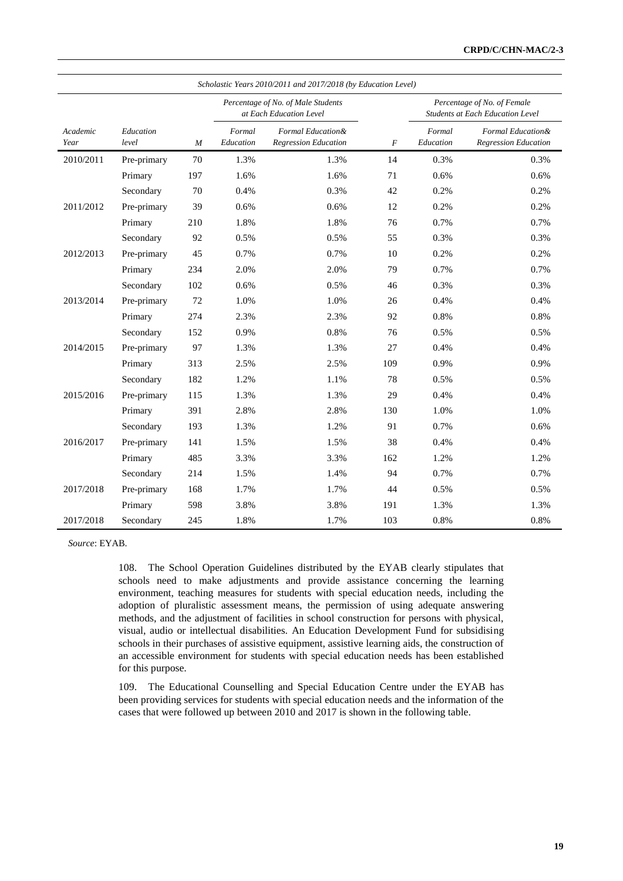|                  |                    |     |                     | Scholastic Years 2010/2011 and 2017/2018 (by Education Level) |                  |                     |                                                                 |
|------------------|--------------------|-----|---------------------|---------------------------------------------------------------|------------------|---------------------|-----------------------------------------------------------------|
|                  |                    |     |                     | Percentage of No. of Male Students<br>at Each Education Level |                  |                     | Percentage of No. of Female<br>Students at Each Education Level |
| Academic<br>Year | Education<br>level | M   | Formal<br>Education | Formal Education &<br><b>Regression Education</b>             | $\boldsymbol{F}$ | Formal<br>Education | Formal Education &<br><b>Regression Education</b>               |
| 2010/2011        | Pre-primary        | 70  | 1.3%                | 1.3%                                                          | 14               | 0.3%                | 0.3%                                                            |
|                  | Primary            | 197 | 1.6%                | 1.6%                                                          | 71               | 0.6%                | 0.6%                                                            |
|                  | Secondary          | 70  | 0.4%                | 0.3%                                                          | 42               | 0.2%                | 0.2%                                                            |
| 2011/2012        | Pre-primary        | 39  | 0.6%                | 0.6%                                                          | 12               | 0.2%                | 0.2%                                                            |
|                  | Primary            | 210 | 1.8%                | 1.8%                                                          | 76               | 0.7%                | 0.7%                                                            |
|                  | Secondary          | 92  | 0.5%                | 0.5%                                                          | 55               | 0.3%                | 0.3%                                                            |
| 2012/2013        | Pre-primary        | 45  | 0.7%                | 0.7%                                                          | 10               | 0.2%                | 0.2%                                                            |
|                  | Primary            | 234 | 2.0%                | 2.0%                                                          | 79               | 0.7%                | 0.7%                                                            |
|                  | Secondary          | 102 | 0.6%                | 0.5%                                                          | 46               | 0.3%                | 0.3%                                                            |
| 2013/2014        | Pre-primary        | 72  | 1.0%                | 1.0%                                                          | 26               | 0.4%                | 0.4%                                                            |
|                  | Primary            | 274 | 2.3%                | 2.3%                                                          | 92               | 0.8%                | 0.8%                                                            |
|                  | Secondary          | 152 | 0.9%                | 0.8%                                                          | 76               | 0.5%                | 0.5%                                                            |
| 2014/2015        | Pre-primary        | 97  | 1.3%                | 1.3%                                                          | 27               | 0.4%                | 0.4%                                                            |
|                  | Primary            | 313 | 2.5%                | 2.5%                                                          | 109              | 0.9%                | 0.9%                                                            |
|                  | Secondary          | 182 | 1.2%                | 1.1%                                                          | 78               | 0.5%                | 0.5%                                                            |
| 2015/2016        | Pre-primary        | 115 | 1.3%                | 1.3%                                                          | 29               | 0.4%                | 0.4%                                                            |
|                  | Primary            | 391 | 2.8%                | 2.8%                                                          | 130              | 1.0%                | 1.0%                                                            |
|                  | Secondary          | 193 | 1.3%                | 1.2%                                                          | 91               | 0.7%                | 0.6%                                                            |
| 2016/2017        | Pre-primary        | 141 | 1.5%                | 1.5%                                                          | 38               | 0.4%                | 0.4%                                                            |
|                  | Primary            | 485 | 3.3%                | 3.3%                                                          | 162              | 1.2%                | 1.2%                                                            |
|                  | Secondary          | 214 | 1.5%                | 1.4%                                                          | 94               | 0.7%                | 0.7%                                                            |
| 2017/2018        | Pre-primary        | 168 | 1.7%                | 1.7%                                                          | 44               | 0.5%                | 0.5%                                                            |
|                  | Primary            | 598 | 3.8%                | 3.8%                                                          | 191              | 1.3%                | 1.3%                                                            |
| 2017/2018        | Secondary          | 245 | 1.8%                | 1.7%                                                          | 103              | 0.8%                | 0.8%                                                            |

*Source*: EYAB.

108. The School Operation Guidelines distributed by the EYAB clearly stipulates that schools need to make adjustments and provide assistance concerning the learning environment, teaching measures for students with special education needs, including the adoption of pluralistic assessment means, the permission of using adequate answering methods, and the adjustment of facilities in school construction for persons with physical, visual, audio or intellectual disabilities. An Education Development Fund for subsidising schools in their purchases of assistive equipment, assistive learning aids, the construction of an accessible environment for students with special education needs has been established for this purpose.

109. The Educational Counselling and Special Education Centre under the EYAB has been providing services for students with special education needs and the information of the cases that were followed up between 2010 and 2017 is shown in the following table.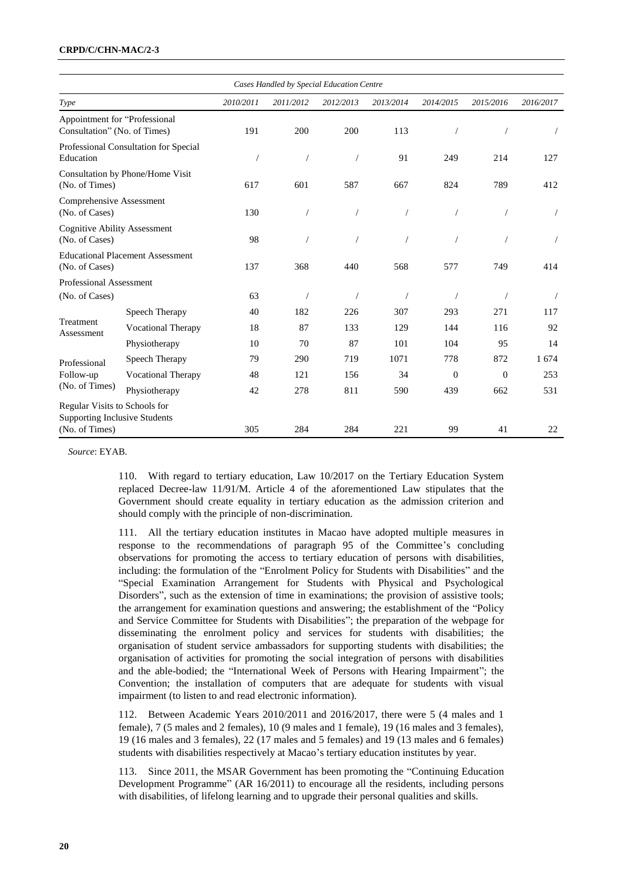#### **CRPD/C/CHN-MAC/2-3**

|                                                                                         |                                         |           | Cases Handled by Special Education Centre |                |                  |              |              |           |
|-----------------------------------------------------------------------------------------|-----------------------------------------|-----------|-------------------------------------------|----------------|------------------|--------------|--------------|-----------|
| Type                                                                                    |                                         | 2010/2011 | 2011/2012                                 | 2012/2013      | 2013/2014        | 2014/2015    | 2015/2016    | 2016/2017 |
| Appointment for "Professional<br>Consultation" (No. of Times)                           |                                         | 191       | 200                                       | 200            | 113              |              |              |           |
| Education                                                                               | Professional Consultation for Special   |           |                                           | $\bigg)$       | 91<br>214<br>249 |              | 127          |           |
| (No. of Times)                                                                          | Consultation by Phone/Home Visit        | 617       | 601                                       | 587            | 667              | 824          | 789          | 412       |
| Comprehensive Assessment<br>(No. of Cases)                                              |                                         | 130       |                                           | $\overline{1}$ |                  |              |              |           |
| (No. of Cases)                                                                          | <b>Cognitive Ability Assessment</b>     |           |                                           |                |                  |              |              |           |
| (No. of Cases)                                                                          | <b>Educational Placement Assessment</b> |           | 368                                       | 440            | 568              | 577          | 749          | 414       |
| <b>Professional Assessment</b>                                                          |                                         |           |                                           |                |                  |              |              |           |
| (No. of Cases)                                                                          |                                         | 63        |                                           | $\overline{1}$ |                  |              |              |           |
|                                                                                         | Speech Therapy                          | 40        | 182                                       | 226            | 307              | 293          | 271          | 117       |
| Treatment<br>Assessment                                                                 | <b>Vocational Therapy</b>               | 18        | 87                                        | 133            | 129              | 144          | 116          | 92        |
|                                                                                         | Physiotherapy                           | 10        | 70                                        | 87             | 101              | 104          | 95           | 14        |
| Professional                                                                            | Speech Therapy                          | 79        | 290                                       | 719            | 1071             | 778          | 872          | 1 674     |
| Follow-up                                                                               | Vocational Therapy                      | 48        | 121                                       | 156            | 34               | $\mathbf{0}$ | $\mathbf{0}$ | 253       |
| (No. of Times)                                                                          | Physiotherapy<br>42                     |           | 278                                       | 811            | 590              | 439          | 662          | 531       |
| Regular Visits to Schools for<br><b>Supporting Inclusive Students</b><br>(No. of Times) |                                         | 305       | 284                                       | 284            | 221              | 99           | 41           | 22        |

*Source*: EYAB.

110. With regard to tertiary education, Law 10/2017 on the Tertiary Education System replaced Decree-law 11/91/M. Article 4 of the aforementioned Law stipulates that the Government should create equality in tertiary education as the admission criterion and should comply with the principle of non-discrimination.

111. All the tertiary education institutes in Macao have adopted multiple measures in response to the recommendations of paragraph 95 of the Committee's concluding observations for promoting the access to tertiary education of persons with disabilities, including: the formulation of the "Enrolment Policy for Students with Disabilities" and the "Special Examination Arrangement for Students with Physical and Psychological Disorders", such as the extension of time in examinations; the provision of assistive tools; the arrangement for examination questions and answering; the establishment of the "Policy and Service Committee for Students with Disabilities"; the preparation of the webpage for disseminating the enrolment policy and services for students with disabilities; the organisation of student service ambassadors for supporting students with disabilities; the organisation of activities for promoting the social integration of persons with disabilities and the able-bodied; the "International Week of Persons with Hearing Impairment"; the Convention; the installation of computers that are adequate for students with visual impairment (to listen to and read electronic information).

112. Between Academic Years 2010/2011 and 2016/2017, there were 5 (4 males and 1 female), 7 (5 males and 2 females), 10 (9 males and 1 female), 19 (16 males and 3 females), 19 (16 males and 3 females), 22 (17 males and 5 females) and 19 (13 males and 6 females) students with disabilities respectively at Macao's tertiary education institutes by year.

113. Since 2011, the MSAR Government has been promoting the "Continuing Education Development Programme" (AR 16/2011) to encourage all the residents, including persons with disabilities, of lifelong learning and to upgrade their personal qualities and skills.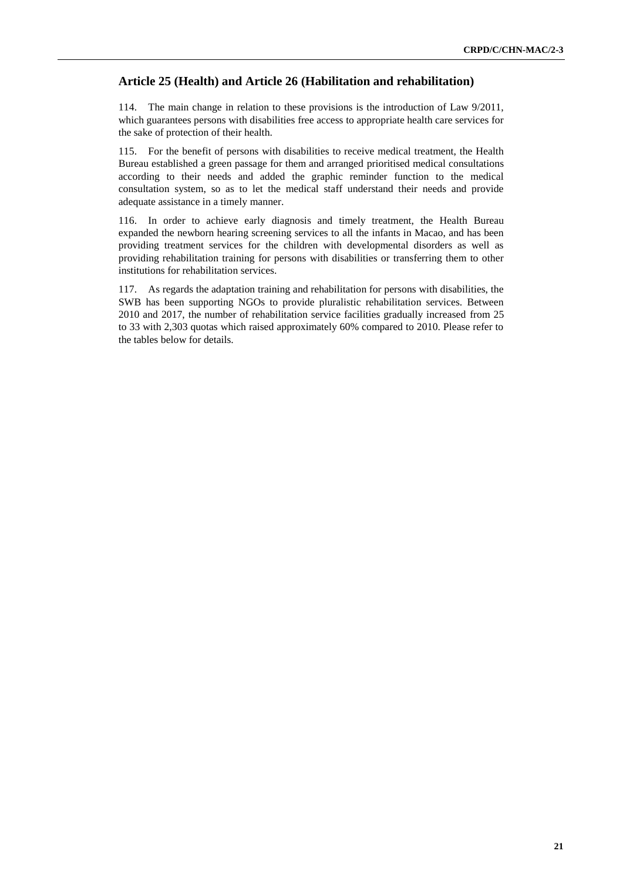# **Article 25 (Health) and Article 26 (Habilitation and rehabilitation)**

114. The main change in relation to these provisions is the introduction of Law 9/2011, which guarantees persons with disabilities free access to appropriate health care services for the sake of protection of their health.

115. For the benefit of persons with disabilities to receive medical treatment, the Health Bureau established a green passage for them and arranged prioritised medical consultations according to their needs and added the graphic reminder function to the medical consultation system, so as to let the medical staff understand their needs and provide adequate assistance in a timely manner.

116. In order to achieve early diagnosis and timely treatment, the Health Bureau expanded the newborn hearing screening services to all the infants in Macao, and has been providing treatment services for the children with developmental disorders as well as providing rehabilitation training for persons with disabilities or transferring them to other institutions for rehabilitation services.

117. As regards the adaptation training and rehabilitation for persons with disabilities, the SWB has been supporting NGOs to provide pluralistic rehabilitation services. Between 2010 and 2017, the number of rehabilitation service facilities gradually increased from 25 to 33 with 2,303 quotas which raised approximately 60% compared to 2010. Please refer to the tables below for details.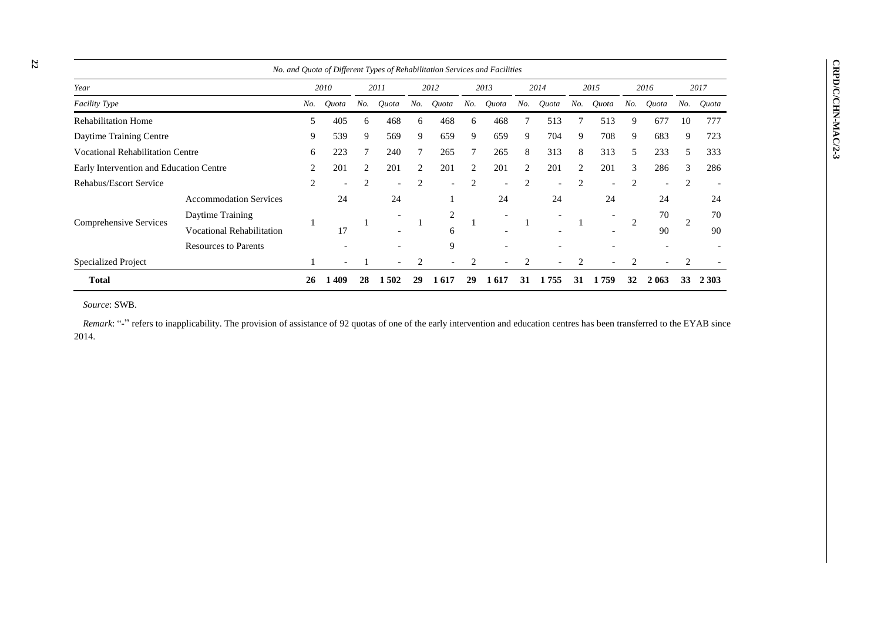|                                         |                                                                                                                      |    |                          |                |                          |                |                          |                | No. and Quota of Different Types of Rehabilitation Services and Facilities |                |                          |     |       |                |                          |                |         |
|-----------------------------------------|----------------------------------------------------------------------------------------------------------------------|----|--------------------------|----------------|--------------------------|----------------|--------------------------|----------------|----------------------------------------------------------------------------|----------------|--------------------------|-----|-------|----------------|--------------------------|----------------|---------|
| Year                                    |                                                                                                                      |    | 2010                     |                | 2011                     |                | 2012                     |                | 2013                                                                       |                | 2014                     |     | 2015  |                | 2016                     |                | 2017    |
| <b>Facility Type</b>                    |                                                                                                                      |    | Quota                    | No.            | Quota                    | No.            | Quota                    | No.            | Quota                                                                      | No.            | Quota                    | No. | Quota | No.            | Quota                    | No.            | Quota   |
| <b>Rehabilitation Home</b>              |                                                                                                                      | 5  | 405                      | 6              | 468                      | 6              | 468                      | 6              | 468                                                                        |                | 513                      |     | 513   | 9              | 677                      | 10             | 777     |
| Daytime Training Centre                 |                                                                                                                      | 9  | 539                      | 9              | 569                      | 9              | 659                      | 9              | 659                                                                        | 9              | 704                      | 9   | 708   | 9              | 683                      | 9              | 723     |
| <b>Vocational Rehabilitation Centre</b> |                                                                                                                      | 6  | 223                      |                | 240                      | 7              | 265                      |                | 265                                                                        | 8              | 313                      | 8   | 313   | 5              | 233                      | 5              | 333     |
|                                         | Early Intervention and Education Centre<br>201<br>2<br>201<br>2<br>201<br>2<br>201<br>201<br>201<br>3<br>2<br>2<br>2 |    |                          |                |                          | 286            | 3                        | 286            |                                                                            |                |                          |     |       |                |                          |                |         |
| Rehabus/Escort Service                  |                                                                                                                      | 2  | $\overline{\phantom{0}}$ | $\overline{2}$ | $\overline{\phantom{a}}$ | $\overline{2}$ | $\overline{\phantom{0}}$ | $\overline{c}$ | $\overline{\phantom{0}}$                                                   | $\overline{2}$ | $\overline{\phantom{0}}$ | 2   |       | 2              | $\overline{\phantom{0}}$ | $\overline{c}$ |         |
|                                         | <b>Accommodation Services</b>                                                                                        |    | 24                       |                | 24                       |                |                          |                | 24                                                                         |                | 24                       |     | 24    |                | 24                       |                | 24      |
| Comprehensive Services                  | Daytime Training                                                                                                     |    |                          |                |                          |                | 2                        |                |                                                                            |                |                          |     |       | $\overline{2}$ | 70                       | 2              | 70      |
|                                         | <b>Vocational Rehabilitation</b>                                                                                     |    | 17                       |                |                          |                | 6                        |                |                                                                            |                |                          |     |       |                | 90                       |                | 90      |
|                                         | <b>Resources to Parents</b>                                                                                          |    |                          |                |                          |                | 9                        |                |                                                                            |                |                          |     |       |                |                          |                |         |
| Specialized Project                     |                                                                                                                      |    |                          |                | $\overline{\phantom{0}}$ | $\overline{2}$ |                          | $\overline{c}$ |                                                                            | 2              |                          | 2   |       | 2              |                          | $\overline{c}$ |         |
| <b>Total</b>                            |                                                                                                                      | 26 | 409                      | 28             | 1 502                    | 29             | 1617                     | 29             | . 617                                                                      | 31             | 755                      | 3 I | -759  | 32             | 2 063                    | 33             | 2 3 0 3 |

*Source*: SWB.

*Remark*: "-" refers to inapplicability. The provision of assistance of 92 quotas of one of the early intervention and education centres has been transferred to the EYAB since 2014.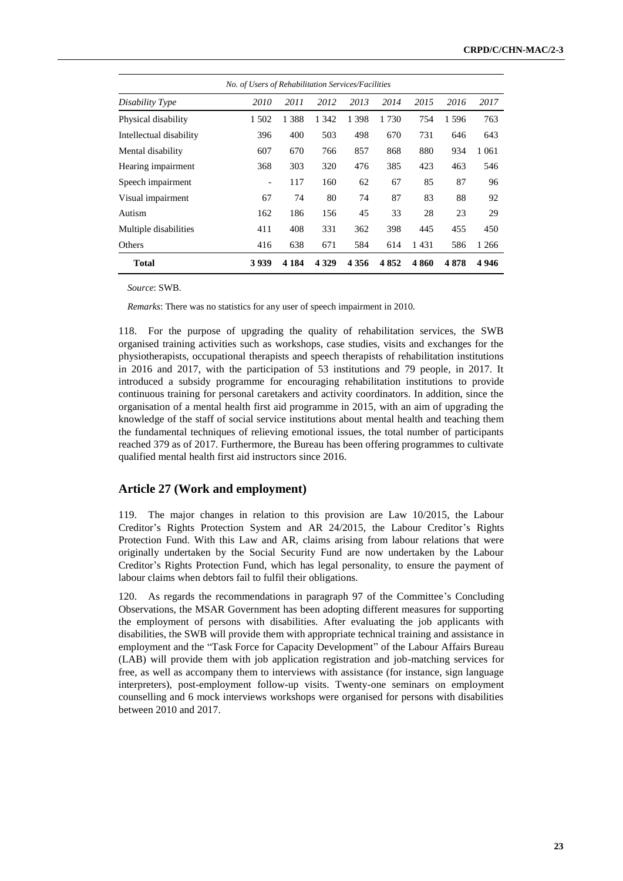|                         | No. of Users of Rehabilitation Services/Facilities |          |         |         |      |      |      |         |  |  |  |  |  |  |
|-------------------------|----------------------------------------------------|----------|---------|---------|------|------|------|---------|--|--|--|--|--|--|
| Disability Type         | 2010                                               | 2011     | 2012    | 2013    | 2014 | 2015 | 2016 | 2017    |  |  |  |  |  |  |
| Physical disability     | 1 502                                              | 388<br>1 | 1 342   | 1 3 9 8 | 1730 | 754  | 1596 | 763     |  |  |  |  |  |  |
| Intellectual disability | 396                                                | 400      | 503     | 498     | 670  | 731  | 646  | 643     |  |  |  |  |  |  |
| Mental disability       | 607                                                | 670      | 766     | 857     | 868  | 880  | 934  | 1 0 6 1 |  |  |  |  |  |  |
| Hearing impairment      | 368                                                | 303      | 320     | 476     | 385  | 423  | 463  | 546     |  |  |  |  |  |  |
| Speech impairment       | $\overline{\phantom{a}}$                           | 117      | 160     | 62      | 67   | 85   | 87   | 96      |  |  |  |  |  |  |
| Visual impairment       | 67                                                 | 74       | 80      | 74      | 87   | 83   | 88   | 92      |  |  |  |  |  |  |
| Autism                  | 162                                                | 186      | 156     | 45      | 33   | 28   | 23   | 29      |  |  |  |  |  |  |
| Multiple disabilities   | 411                                                | 408      | 331     | 362     | 398  | 445  | 455  | 450     |  |  |  |  |  |  |
| Others                  | 416                                                | 638      | 671     | 584     | 614  | 1431 | 586  | 1 2 6 6 |  |  |  |  |  |  |
| <b>Total</b>            | 3939                                               | 4 1 8 4  | 4 3 2 9 | 4 3 5 6 | 4852 | 4860 | 4878 | 4946    |  |  |  |  |  |  |

*Source*: SWB.

*Remarks*: There was no statistics for any user of speech impairment in 2010.

118. For the purpose of upgrading the quality of rehabilitation services, the SWB organised training activities such as workshops, case studies, visits and exchanges for the physiotherapists, occupational therapists and speech therapists of rehabilitation institutions in 2016 and 2017, with the participation of 53 institutions and 79 people, in 2017. It introduced a subsidy programme for encouraging rehabilitation institutions to provide continuous training for personal caretakers and activity coordinators. In addition, since the organisation of a mental health first aid programme in 2015, with an aim of upgrading the knowledge of the staff of social service institutions about mental health and teaching them the fundamental techniques of relieving emotional issues, the total number of participants reached 379 as of 2017. Furthermore, the Bureau has been offering programmes to cultivate qualified mental health first aid instructors since 2016.

# **Article 27 (Work and employment)**

119. The major changes in relation to this provision are Law 10/2015, the Labour Creditor's Rights Protection System and AR 24/2015, the Labour Creditor's Rights Protection Fund. With this Law and AR, claims arising from labour relations that were originally undertaken by the Social Security Fund are now undertaken by the Labour Creditor's Rights Protection Fund, which has legal personality, to ensure the payment of labour claims when debtors fail to fulfil their obligations.

120. As regards the recommendations in paragraph 97 of the Committee's Concluding Observations, the MSAR Government has been adopting different measures for supporting the employment of persons with disabilities. After evaluating the job applicants with disabilities, the SWB will provide them with appropriate technical training and assistance in employment and the "Task Force for Capacity Development" of the Labour Affairs Bureau (LAB) will provide them with job application registration and job-matching services for free, as well as accompany them to interviews with assistance (for instance, sign language interpreters), post-employment follow-up visits. Twenty-one seminars on employment counselling and 6 mock interviews workshops were organised for persons with disabilities between 2010 and 2017.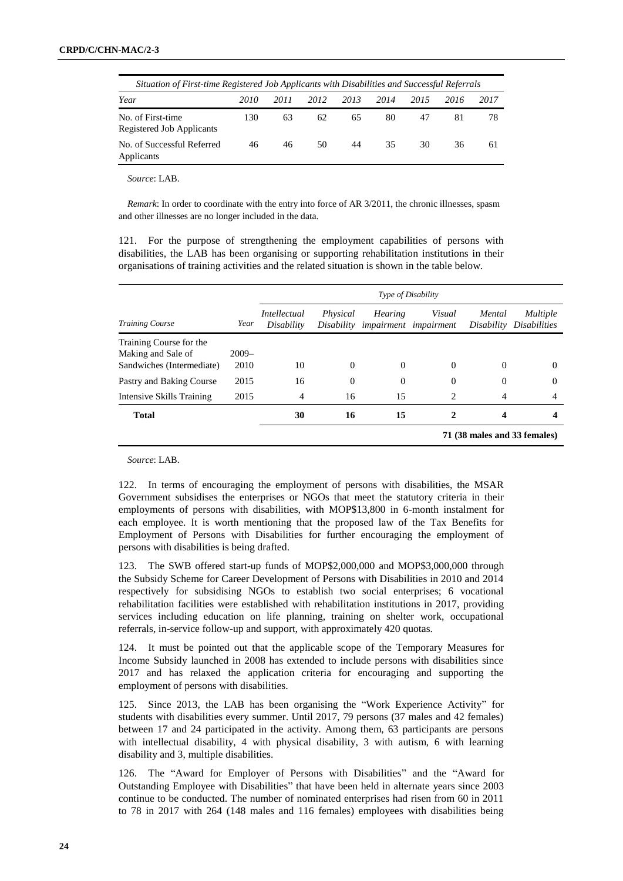| Situation of First-time Registered Job Applicants with Disabilities and Successful Referrals |      |      |      |      |      |      |      |      |
|----------------------------------------------------------------------------------------------|------|------|------|------|------|------|------|------|
| Year                                                                                         | 2010 | 2011 | 2012 | 2013 | 2014 | 2015 | 2016 | 2017 |
| No. of First-time<br>Registered Job Applicants                                               | 130  | 63   | 62   | 65   | 80   | 47   | 81   | 78   |
| No. of Successful Referred<br>Applicants                                                     | 46   | 46   | 50   | 44   | 35   | -30  | 36   | 61   |

*Source*: LAB.

*Remark*: In order to coordinate with the entry into force of AR 3/2011, the chronic illnesses, spasm and other illnesses are no longer included in the data.

121. For the purpose of strengthening the employment capabilities of persons with disabilities, the LAB has been organising or supporting rehabilitation institutions in their organisations of training activities and the related situation is shown in the table below.

|                                               |         | Type of Disability         |                        |                |                                        |                      |                                        |  |  |  |
|-----------------------------------------------|---------|----------------------------|------------------------|----------------|----------------------------------------|----------------------|----------------------------------------|--|--|--|
| <b>Training Course</b>                        | Year    | Intellectual<br>Disability | Physical<br>Disability | <b>Hearing</b> | Visual<br><i>impairment impairment</i> | Mental<br>Disability | <i>Multiple</i><br><i>Disabilities</i> |  |  |  |
| Training Course for the<br>Making and Sale of | $2009-$ |                            |                        |                |                                        |                      |                                        |  |  |  |
| Sandwiches (Intermediate)                     | 2010    | 10                         | $\Omega$               | $\Omega$       | $\Omega$                               | $\Omega$             | $\Omega$                               |  |  |  |
| Pastry and Baking Course                      | 2015    | 16                         | $\Omega$               | $\Omega$       | $\theta$                               | $\Omega$             | $\Omega$                               |  |  |  |
| Intensive Skills Training                     | 2015    | 4                          | 16                     | 15             | 2                                      | 4                    | 4                                      |  |  |  |
| <b>Total</b>                                  |         | 30                         | 16                     | 15             | 2                                      | 4                    |                                        |  |  |  |
|                                               |         |                            |                        |                | 71 (38 males and 33 females)           |                      |                                        |  |  |  |

*Source*: LAB.

122. In terms of encouraging the employment of persons with disabilities, the MSAR Government subsidises the enterprises or NGOs that meet the statutory criteria in their employments of persons with disabilities, with MOP\$13,800 in 6-month instalment for each employee. It is worth mentioning that the proposed law of the Tax Benefits for Employment of Persons with Disabilities for further encouraging the employment of persons with disabilities is being drafted.

123. The SWB offered start-up funds of MOP\$2,000,000 and MOP\$3,000,000 through the Subsidy Scheme for Career Development of Persons with Disabilities in 2010 and 2014 respectively for subsidising NGOs to establish two social enterprises; 6 vocational rehabilitation facilities were established with rehabilitation institutions in 2017, providing services including education on life planning, training on shelter work, occupational referrals, in-service follow-up and support, with approximately 420 quotas.

124. It must be pointed out that the applicable scope of the Temporary Measures for Income Subsidy launched in 2008 has extended to include persons with disabilities since 2017 and has relaxed the application criteria for encouraging and supporting the employment of persons with disabilities.

125. Since 2013, the LAB has been organising the "Work Experience Activity" for students with disabilities every summer. Until 2017, 79 persons (37 males and 42 females) between 17 and 24 participated in the activity. Among them, 63 participants are persons with intellectual disability, 4 with physical disability, 3 with autism, 6 with learning disability and 3, multiple disabilities.

126. The "Award for Employer of Persons with Disabilities" and the "Award for Outstanding Employee with Disabilities" that have been held in alternate years since 2003 continue to be conducted. The number of nominated enterprises had risen from 60 in 2011 to 78 in 2017 with 264 (148 males and 116 females) employees with disabilities being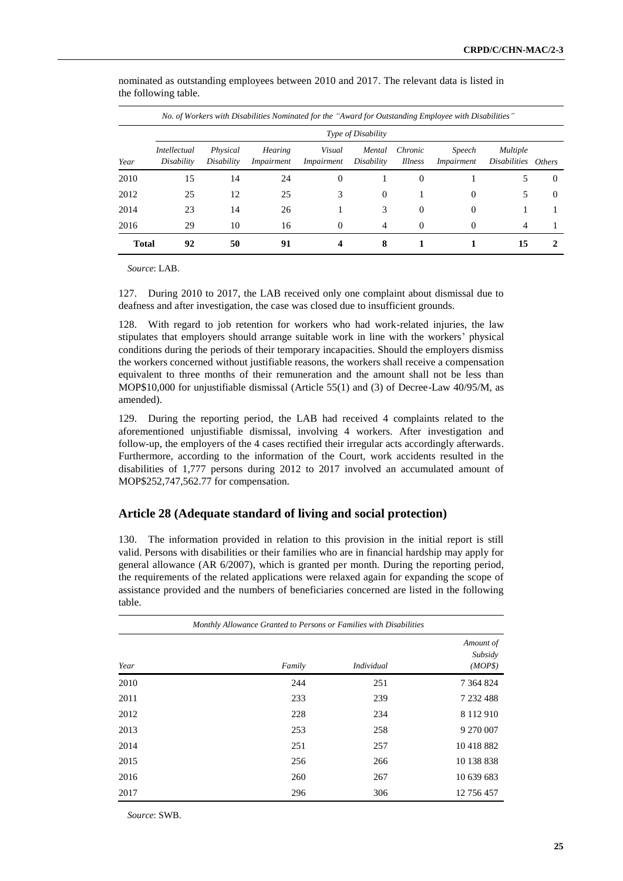| No. of Workers with Disabilities Nominated for the "Award for Outstanding Employee with Disabilities" |                                   |                        |                              |                             |                      |                           |                             |                                 |          |  |  |
|-------------------------------------------------------------------------------------------------------|-----------------------------------|------------------------|------------------------------|-----------------------------|----------------------|---------------------------|-----------------------------|---------------------------------|----------|--|--|
|                                                                                                       | Type of Disability                |                        |                              |                             |                      |                           |                             |                                 |          |  |  |
| Year                                                                                                  | <i>Intellectual</i><br>Disability | Physical<br>Disability | <b>Hearing</b><br>Impairment | Visual<br><i>Impairment</i> | Mental<br>Disability | Chronic<br><i>Illness</i> | Speech<br><i>Impairment</i> | Multiple<br>Disabilities Others |          |  |  |
| 2010                                                                                                  | 15                                | 14                     | 24                           | $\Omega$                    |                      | $\left($                  |                             | 5                               | $\Omega$ |  |  |
| 2012                                                                                                  | 25                                | 12                     | 25                           | 3                           | $\Omega$             |                           | $\Omega$                    | 5                               | $\Omega$ |  |  |
| 2014                                                                                                  | 23                                | 14                     | 26                           |                             | 3                    | $\Omega$                  | $\Omega$                    |                                 |          |  |  |
| 2016                                                                                                  | 29                                | 10                     | 16                           | $\Omega$                    | 4                    | $\left($                  | $\Omega$                    | 4                               |          |  |  |
| <b>Total</b>                                                                                          | 92                                | 50                     | 91                           | 4                           | 8                    |                           |                             | 15                              |          |  |  |

nominated as outstanding employees between 2010 and 2017. The relevant data is listed in the following table.

*Source*: LAB.

127. During 2010 to 2017, the LAB received only one complaint about dismissal due to deafness and after investigation, the case was closed due to insufficient grounds.

128. With regard to job retention for workers who had work-related injuries, the law stipulates that employers should arrange suitable work in line with the workers' physical conditions during the periods of their temporary incapacities. Should the employers dismiss the workers concerned without justifiable reasons, the workers shall receive a compensation equivalent to three months of their remuneration and the amount shall not be less than MOP\$10,000 for unjustifiable dismissal (Article 55(1) and (3) of Decree-Law 40/95/M, as amended).

129. During the reporting period, the LAB had received 4 complaints related to the aforementioned unjustifiable dismissal, involving 4 workers. After investigation and follow-up, the employers of the 4 cases rectified their irregular acts accordingly afterwards. Furthermore, according to the information of the Court, work accidents resulted in the disabilities of 1,777 persons during 2012 to 2017 involved an accumulated amount of MOP\$252,747,562.77 for compensation.

#### **Article 28 (Adequate standard of living and social protection)**

130. The information provided in relation to this provision in the initial report is still valid. Persons with disabilities or their families who are in financial hardship may apply for general allowance (AR 6/2007), which is granted per month. During the reporting period, the requirements of the related applications were relaxed again for expanding the scope of assistance provided and the numbers of beneficiaries concerned are listed in the following table.

| Monthly Allowance Granted to Persons or Families with Disabilities |        |            |                                 |  |  |  |  |  |  |
|--------------------------------------------------------------------|--------|------------|---------------------------------|--|--|--|--|--|--|
| Year                                                               | Family | Individual | Amount of<br>Subsidy<br>(MOP\$) |  |  |  |  |  |  |
| 2010                                                               | 244    | 251        | 7 3 6 4 8 2 4                   |  |  |  |  |  |  |
| 2011                                                               | 233    | 239        | 7 232 488                       |  |  |  |  |  |  |
| 2012                                                               | 228    | 234        | 8 1 1 2 9 1 0                   |  |  |  |  |  |  |
| 2013                                                               | 253    | 258        | 9 270 007                       |  |  |  |  |  |  |
| 2014                                                               | 251    | 257        | 10418882                        |  |  |  |  |  |  |
| 2015                                                               | 256    | 266        | 10 138 838                      |  |  |  |  |  |  |
| 2016                                                               | 260    | 267        | 10 639 683                      |  |  |  |  |  |  |
| 2017                                                               | 296    | 306        | 12 756 457                      |  |  |  |  |  |  |

*Source*: SWB.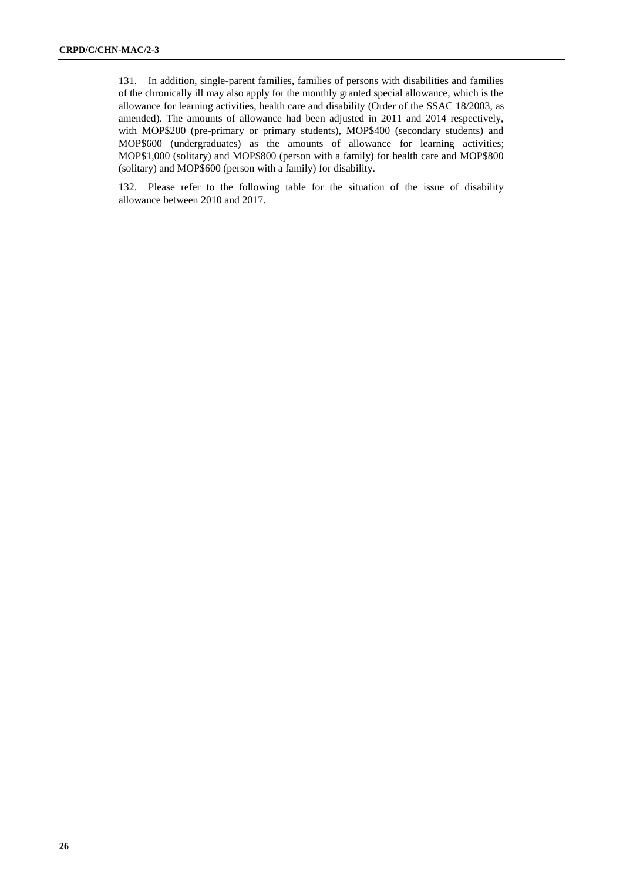131. In addition, single-parent families, families of persons with disabilities and families of the chronically ill may also apply for the monthly granted special allowance, which is the allowance for learning activities, health care and disability (Order of the SSAC 18/2003, as amended). The amounts of allowance had been adjusted in 2011 and 2014 respectively, with MOP\$200 (pre-primary or primary students), MOP\$400 (secondary students) and MOP\$600 (undergraduates) as the amounts of allowance for learning activities; MOP\$1,000 (solitary) and MOP\$800 (person with a family) for health care and MOP\$800 (solitary) and MOP\$600 (person with a family) for disability.

132. Please refer to the following table for the situation of the issue of disability allowance between 2010 and 2017.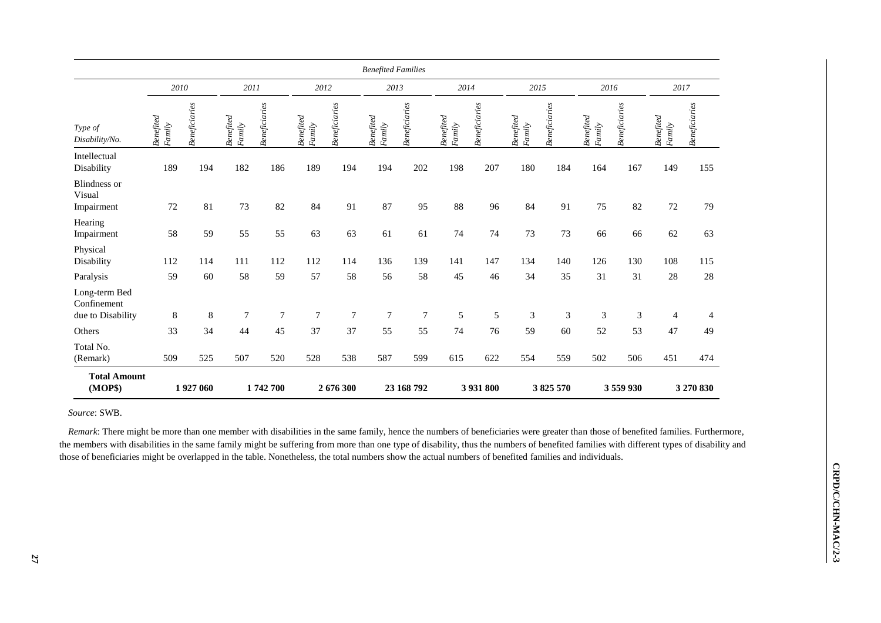|                                                   |                                                    |               |                     |                |                     |                | <b>Benefited Families</b> |                |                     |               |                     |                      |                     |               |                    |                      |
|---------------------------------------------------|----------------------------------------------------|---------------|---------------------|----------------|---------------------|----------------|---------------------------|----------------|---------------------|---------------|---------------------|----------------------|---------------------|---------------|--------------------|----------------------|
|                                                   | 2010                                               |               | 2011                |                | 2012                |                | 2013                      |                | 2014                |               | 2015                |                      | 2016                |               | 2017               |                      |
| Type of<br>Disability/No.                         | $\label{eq:perfined} \textit{Benefited}$<br>Family | Beneficiaries | Benefited<br>Family | Beneficiaries  | Benefited<br>Family | Beneficiaries  | Benefited<br>Family       | Beneficiaries  | Benefited<br>Family | Beneficiaries | Benefited<br>Family | <b>Beneficiaries</b> | Benefited<br>Family | Beneficiaries | Benefied<br>Family | <b>Beneficiaries</b> |
| Intellectual<br>Disability                        | 189                                                | 194           | 182                 | 186            | 189                 | 194            | 194                       | 202            | 198                 | 207           | 180                 | 184                  | 164                 | 167           | 149                | 155                  |
| <b>Blindness</b> or<br>Visual<br>Impairment       | 72                                                 | 81            | 73                  | 82             | 84                  | 91             | 87                        | 95             | 88                  | 96            | 84                  | 91                   | 75                  | 82            | 72                 | 79                   |
| Hearing<br>Impairment                             | 58                                                 | 59            | 55                  | 55             | 63                  | 63             | 61                        | 61             | 74                  | 74            | 73                  | 73                   | 66                  | 66            | 62                 | 63                   |
| Physical<br>Disability                            | 112                                                | 114           | 111                 | 112            | 112                 | 114            | 136                       | 139            | 141                 | 147           | 134                 | 140                  | 126                 | 130           | 108                | 115                  |
| Paralysis                                         | 59                                                 | 60            | 58                  | 59             | 57                  | 58             | 56                        | 58             | 45                  | 46            | 34                  | 35                   | 31                  | 31            | 28                 | 28                   |
| Long-term Bed<br>Confinement<br>due to Disability | $8\,$                                              | 8             | $\tau$              | $\overline{7}$ | $\tau$              | $\overline{7}$ | $\overline{7}$            | $\overline{7}$ | 5                   | 5             | $\mathfrak{Z}$      | 3                    | 3                   | 3             | $\overline{4}$     | 4                    |
| Others                                            | 33                                                 | 34            | 44                  | 45             | 37                  | 37             | 55                        | 55             | 74                  | 76            | 59                  | 60                   | 52                  | 53            | 47                 | 49                   |
| Total No.<br>(Remark)                             | 509                                                | 525           | 507                 | 520            | 528                 | 538            | 587                       | 599            | 615                 | 622           | 554                 | 559                  | 502                 | 506           | 451                | 474                  |
| <b>Total Amount</b><br>(MOP\$)                    |                                                    | 1927060       |                     | 1742700        |                     | 2676300        |                           | 23 168 792     |                     | 3 931 800     |                     | 3825570              |                     | 3 559 930     |                    | 3 270 830            |

*Source*: SWB.

*Remark*: There might be more than one member with disabilities in the same family, hence the numbers of beneficiaries were greater than those of benefited families. Furthermore, the members with disabilities in the same family might be suffering from more than one type of disability, thus the numbers of benefited families with different types of disability and those of beneficiaries might be overlapped in the table. Nonetheless, the total numbers show the actual numbers of benefited families and individuals.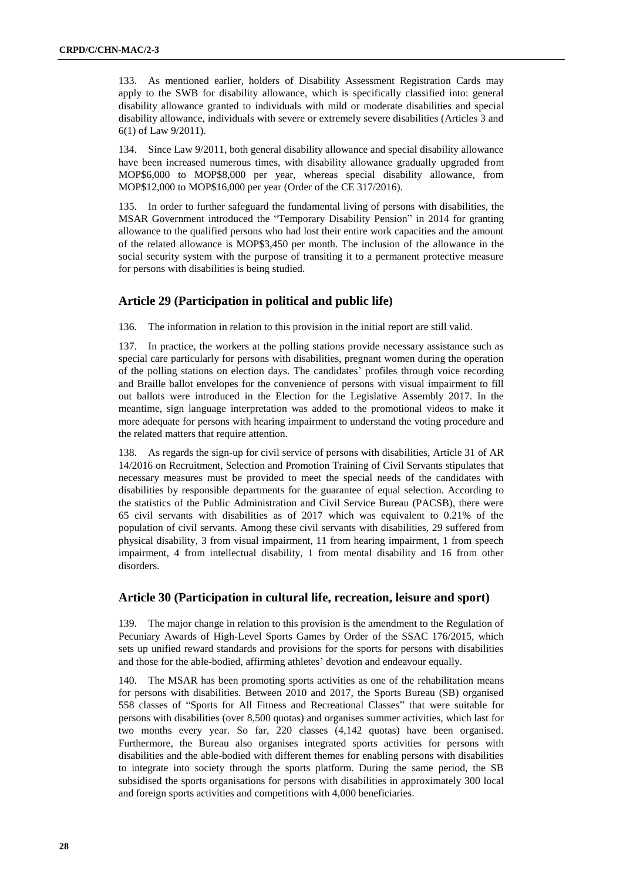133. As mentioned earlier, holders of Disability Assessment Registration Cards may apply to the SWB for disability allowance, which is specifically classified into: general disability allowance granted to individuals with mild or moderate disabilities and special disability allowance, individuals with severe or extremely severe disabilities (Articles 3 and 6(1) of Law 9/2011).

134. Since Law 9/2011, both general disability allowance and special disability allowance have been increased numerous times, with disability allowance gradually upgraded from MOP\$6,000 to MOP\$8,000 per year, whereas special disability allowance, from MOP\$12,000 to MOP\$16,000 per year (Order of the CE 317/2016).

135. In order to further safeguard the fundamental living of persons with disabilities, the MSAR Government introduced the "Temporary Disability Pension" in 2014 for granting allowance to the qualified persons who had lost their entire work capacities and the amount of the related allowance is MOP\$3,450 per month. The inclusion of the allowance in the social security system with the purpose of transiting it to a permanent protective measure for persons with disabilities is being studied.

# **Article 29 (Participation in political and public life)**

136. The information in relation to this provision in the initial report are still valid.

137. In practice, the workers at the polling stations provide necessary assistance such as special care particularly for persons with disabilities, pregnant women during the operation of the polling stations on election days. The candidates' profiles through voice recording and Braille ballot envelopes for the convenience of persons with visual impairment to fill out ballots were introduced in the Election for the Legislative Assembly 2017. In the meantime, sign language interpretation was added to the promotional videos to make it more adequate for persons with hearing impairment to understand the voting procedure and the related matters that require attention.

138. As regards the sign-up for civil service of persons with disabilities, Article 31 of AR 14/2016 on Recruitment, Selection and Promotion Training of Civil Servants stipulates that necessary measures must be provided to meet the special needs of the candidates with disabilities by responsible departments for the guarantee of equal selection. According to the statistics of the Public Administration and Civil Service Bureau (PACSB), there were 65 civil servants with disabilities as of 2017 which was equivalent to 0.21% of the population of civil servants. Among these civil servants with disabilities, 29 suffered from physical disability, 3 from visual impairment, 11 from hearing impairment, 1 from speech impairment, 4 from intellectual disability, 1 from mental disability and 16 from other disorders.

#### **Article 30 (Participation in cultural life, recreation, leisure and sport)**

139. The major change in relation to this provision is the amendment to the Regulation of Pecuniary Awards of High-Level Sports Games by Order of the SSAC 176/2015, which sets up unified reward standards and provisions for the sports for persons with disabilities and those for the able-bodied, affirming athletes' devotion and endeavour equally.

140. The MSAR has been promoting sports activities as one of the rehabilitation means for persons with disabilities. Between 2010 and 2017, the Sports Bureau (SB) organised 558 classes of "Sports for All Fitness and Recreational Classes" that were suitable for persons with disabilities (over 8,500 quotas) and organises summer activities, which last for two months every year. So far, 220 classes (4,142 quotas) have been organised. Furthermore, the Bureau also organises integrated sports activities for persons with disabilities and the able-bodied with different themes for enabling persons with disabilities to integrate into society through the sports platform. During the same period, the SB subsidised the sports organisations for persons with disabilities in approximately 300 local and foreign sports activities and competitions with 4,000 beneficiaries.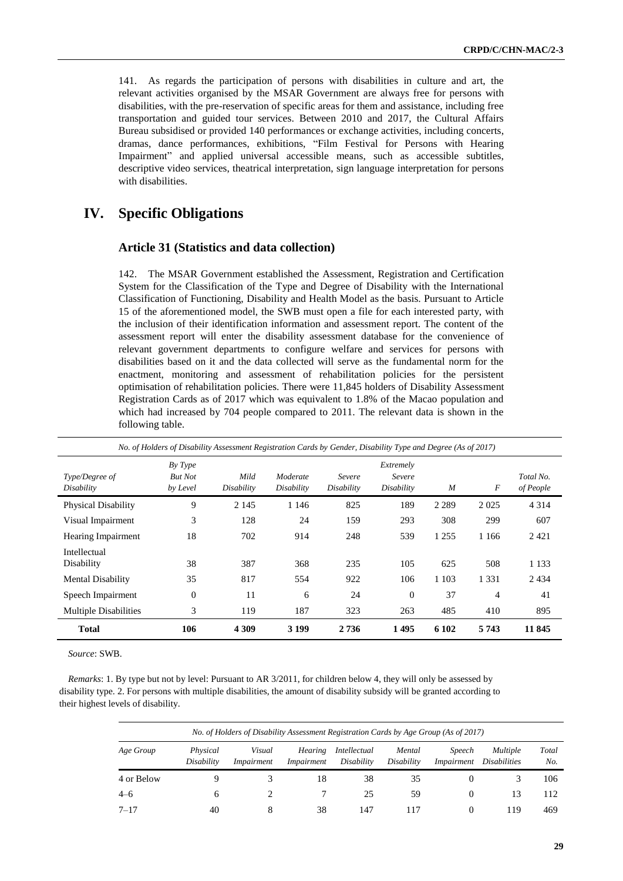141. As regards the participation of persons with disabilities in culture and art, the relevant activities organised by the MSAR Government are always free for persons with disabilities, with the pre-reservation of specific areas for them and assistance, including free transportation and guided tour services. Between 2010 and 2017, the Cultural Affairs Bureau subsidised or provided 140 performances or exchange activities, including concerts, dramas, dance performances, exhibitions, "Film Festival for Persons with Hearing Impairment" and applied universal accessible means, such as accessible subtitles, descriptive video services, theatrical interpretation, sign language interpretation for persons with disabilities.

# **IV. Specific Obligations**

#### **Article 31 (Statistics and data collection)**

142. The MSAR Government established the Assessment, Registration and Certification System for the Classification of the Type and Degree of Disability with the International Classification of Functioning, Disability and Health Model as the basis. Pursuant to Article 15 of the aforementioned model, the SWB must open a file for each interested party, with the inclusion of their identification information and assessment report. The content of the assessment report will enter the disability assessment database for the convenience of relevant government departments to configure welfare and services for persons with disabilities based on it and the data collected will serve as the fundamental norm for the enactment, monitoring and assessment of rehabilitation policies for the persistent optimisation of rehabilitation policies. There were 11,845 holders of Disability Assessment Registration Cards as of 2017 which was equivalent to 1.8% of the Macao population and which had increased by 704 people compared to 2011. The relevant data is shown in the following table.

| No. of Holders of Disability Assessment Registration Cards by Gender, Disability Type and Degree (As of 2017) |                                       |                    |                        |                      |                                   |         |         |                        |  |  |
|---------------------------------------------------------------------------------------------------------------|---------------------------------------|--------------------|------------------------|----------------------|-----------------------------------|---------|---------|------------------------|--|--|
| Type/Degree of<br>Disability                                                                                  | By Type<br><b>But Not</b><br>by Level | Mild<br>Disability | Moderate<br>Disability | Severe<br>Disability | Extremely<br>Severe<br>Disability | M       | F       | Total No.<br>of People |  |  |
| <b>Physical Disability</b>                                                                                    | 9                                     | 2 1 4 5            | 1 1 4 6                | 825                  | 189                               | 2 2 8 9 | 2 0 2 5 | 4 3 1 4                |  |  |
| Visual Impairment                                                                                             | 3                                     | 128                | 24                     | 159                  | 293                               | 308     | 299     | 607                    |  |  |
| <b>Hearing Impairment</b>                                                                                     | 18                                    | 702                | 914                    | 248                  | 539                               | 1 2 5 5 | 1 1 6 6 | 2421                   |  |  |
| Intellectual<br>Disability                                                                                    | 38                                    | 387                | 368                    | 235                  | 105                               | 625     | 508     | 1 1 3 3                |  |  |
| <b>Mental Disability</b>                                                                                      | 35                                    | 817                | 554                    | 922                  | 106                               | 1 1 0 3 | 1 3 3 1 | 2434                   |  |  |
| Speech Impairment                                                                                             | $\mathbf{0}$                          | 11                 | 6                      | 24                   | $\theta$                          | 37      | 4       | 41                     |  |  |
| <b>Multiple Disabilities</b>                                                                                  | 3                                     | 119                | 187                    | 323                  | 263                               | 485     | 410     | 895                    |  |  |
| <b>Total</b>                                                                                                  | 106                                   | 4 3 0 9            | 3 199                  | 2 7 3 6              | 1495                              | 6 102   | 5743    | 11 845                 |  |  |

*Source*: SWB.

*Remarks*: 1. By type but not by level: Pursuant to AR 3/2011, for children below 4, they will only be assessed by disability type. 2. For persons with multiple disabilities, the amount of disability subsidy will be granted according to their highest levels of disability.

| No. of Holders of Disability Assessment Registration Cards by Age Group (As of 2017) |                        |                      |                       |                            |                      |                             |                                        |              |  |  |
|--------------------------------------------------------------------------------------|------------------------|----------------------|-----------------------|----------------------------|----------------------|-----------------------------|----------------------------------------|--------------|--|--|
| Age Group                                                                            | Physical<br>Disability | Visual<br>Impairment | Hearing<br>Impairment | Intellectual<br>Disability | Mental<br>Disability | <i>Speech</i><br>Impairment | <i>Multiple</i><br><i>Disabilities</i> | Total<br>No. |  |  |
| 4 or Below                                                                           |                        |                      | 18                    | 38                         | 35                   |                             |                                        | 106          |  |  |
| $4 - 6$                                                                              |                        |                      |                       | 25                         | 59                   |                             | 13                                     | 112          |  |  |
| $7 - 17$                                                                             | 40                     | x                    | 38                    | 147                        | 117                  |                             | 119                                    | 469          |  |  |